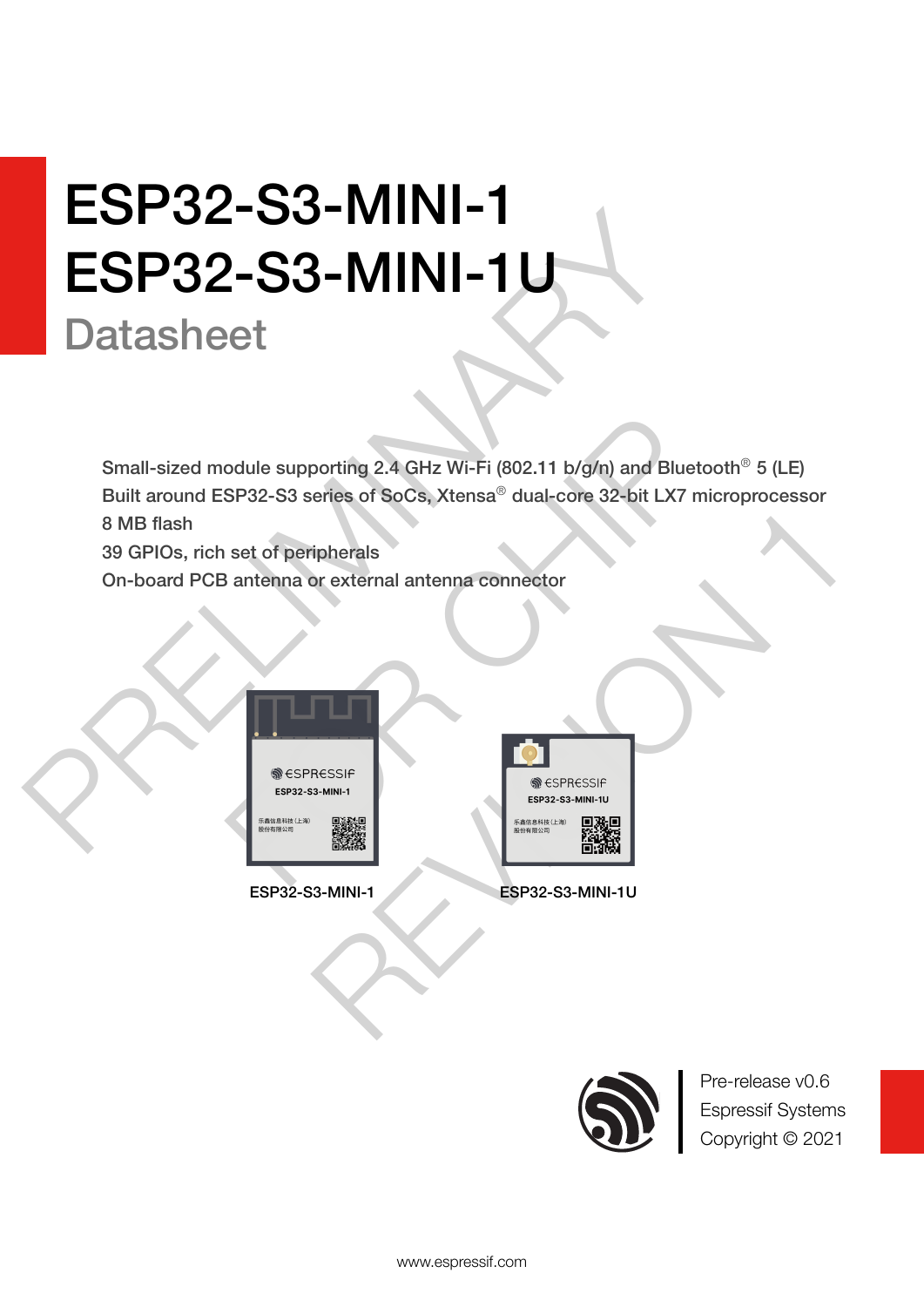# ESP32-S3-MINI-1U<br>
Datasheet<br>
Small-sized module supporting 2.4 GHz Wi-Fi (602.11 b/g/n) and Blue<br>
Built around ESP32-S3 series of SoCs, Xtensa<sup>3</sup> dual-core 32-bit LX7<br>
8 MB flash<br>
39 GPIOs, rich set of peripherals<br>
On-boar **ESP32-S3-MINI-1** ESP32-S3-MINI-1U

# **Datasheet**

Odule supporting 2.4 GHz Wi-Fi (802.11 b/g/n) and Bluetoot<br>SP32-S3 series of SoCs, Xtensa® dual-core 32-bit LX7 microset of peripherals<br>antenna or external antenna connector<br>SPRESSIF<br>SPRESSIF<br>SPRESSIF<br>SPRESSIF<br>SPRESSIF<br>SPR ripherals<br>
or external antenna connector<br>
RESSIE<br>
RESSIE<br>
RESSIE<br>
RESSIE<br>
RESSIE<br>
RESSIE<br>
RESSIE<br>
RESSIE<br>
RESSIE<br>
RESPONDING TO PROPER SIMILITY<br>
RESPONDING TO PROPER SIMILITY<br>
RESPONDING TO PROPER SIMILITY Small-sized module supporting 2.4 GHz Wi-Fi (802.11 b/g/n) and Bluetooth<sup>®</sup> 5 (LE) Built around ESP32-S3 series of SoCs, Xtensa® dual-core 32-bit LX7 microprocessor 8 MB flash

39 GPIOs, rich set of peripherals

On-board PCB antenna or external antenna connector





ESP32-S3-MINI-1 ESP32-S3-MINI-1U



Pre-release v0.6 Espressif Systems Copyright © 2021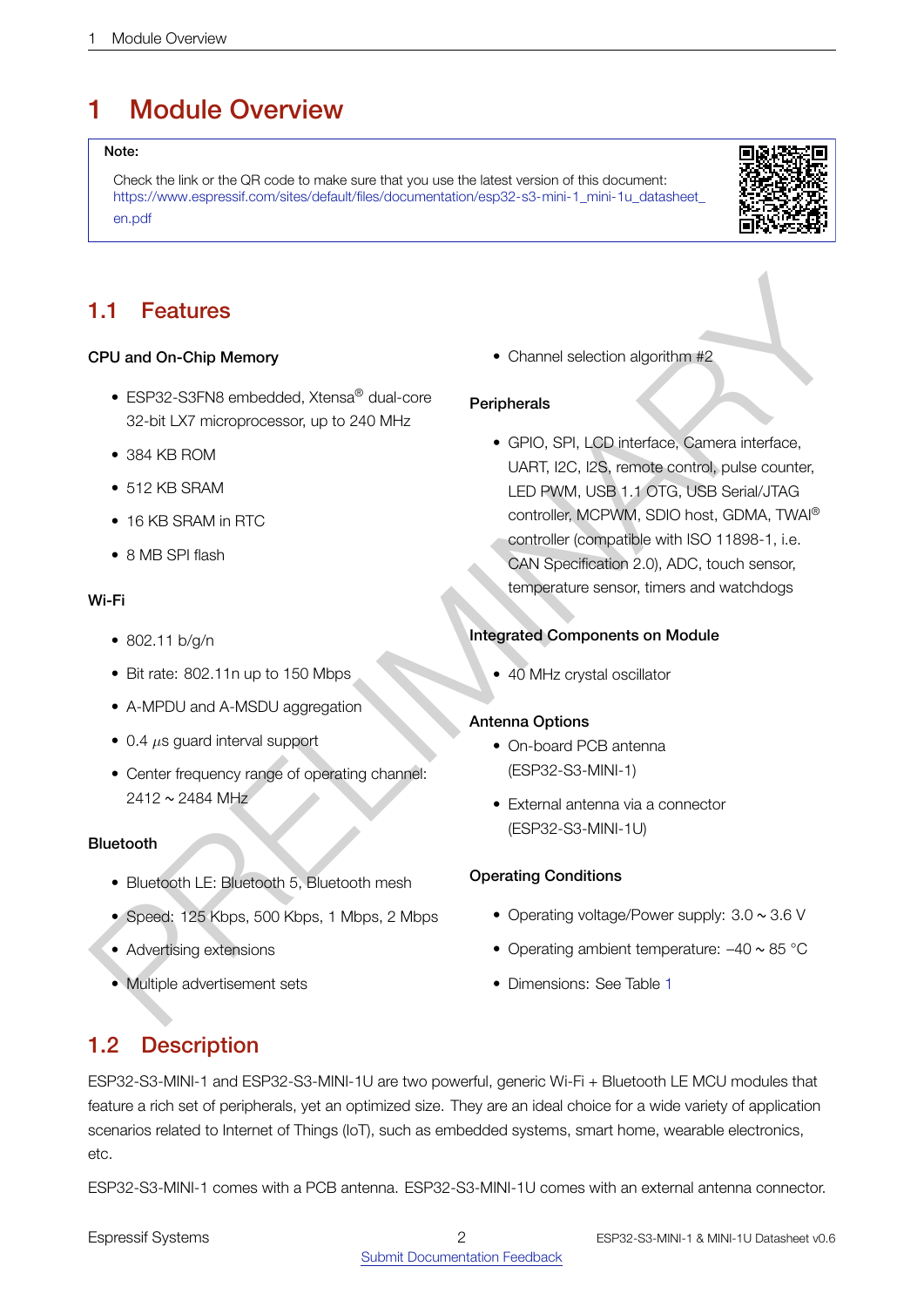# <span id="page-1-0"></span>1 Module Overview

#### Note:

Check the link or the QR code to make sure that you use the latest version of this document: [https://www.espressif.com/sites/default/files/documentation/esp32-s3-mini-1\\_mini-1u\\_datasheet\\_](https://www.espressif.com/sites/default/files/documentation/esp32-s3-mini-1_mini-1u_datasheet_en.pdf) [en.pdf](https://www.espressif.com/sites/default/files/documentation/esp32-s3-mini-1_mini-1u_datasheet_en.pdf)



# 1.1 Features

## CPU and On-Chip Memory

- ESP32-S3FN8 embedded, Xtensa<sup>®</sup> dual-core 32-bit LX7 microprocessor, up to 240 MHz
- 384 KB ROM
- 512 KB SRAM
- 16 KB SRAM in RTC
- 8 MB SPI flash

#### Wi-Fi

- 802.11 b/g/n
- Bit rate: 802.11n up to 150 Mbps
- A-MPDU and A-MSDU aggregation
- 0.4 *µ*s guard interval support
- Center frequency range of operating channel:  $2412 \sim 2484 \text{ MHz}$

#### Bluetooth

- Bluetooth LE: Bluetooth 5, Bluetooth mesh
- Speed: 125 Kbps, 500 Kbps, 1 Mbps, 2 Mbps
- Advertising extensions
- Multiple advertisement sets

• Channel selection algorithm #2

## **Peripherals**

<span id="page-1-1"></span>1.1 Features<br>
CPU and On-Chip Memory<br>
CSF32 SSTN8 ambodied. Xtensa<sup>9</sup> dual corte<br>
32-bit LX7 metopocossor, up to 240 MHz<br>
- GRS, CRI, CRI, CRI, CRI, CRI, CRI methods, Cerrica ambass counter.<br>
- STR SFAM in TC CSF (SF), CR • GPIO, SPI, LCD interface, Camera interface, UART, I2C, I2S, remote control, pulse counter, LED PWM, USB 1.1 OTG, USB Serial/JTAG controller, MCPWM, SDIO host, GDMA, TWAI® controller (compatible with ISO 11898-1, i.e. CAN Specification 2.0), ADC, touch sensor, temperature sensor, timers and watchdogs

## Integrated Components on Module

• 40 MHz crystal oscillator

#### Antenna Options

- On-board PCB antenna (ESP32-S3-MINI-1)
- External antenna via a connector (ESP32-S3-MINI-1U)

#### Operating Conditions

- Operating voltage/Power supply: 3.0 ~ 3.6 V
- Operating ambient temperature:  $-40 \sim 85$  °C
- Dimensions: See Table 1

# <span id="page-1-2"></span>1.2 Description

ESP32-S3-MINI-1 and ESP32-S3-MINI-1U are two powerful, generic Wi-Fi + Bluetooth LE MCU modules that feature a rich set of peripherals, yet an optimized size. They are an ideal choice for a wide variety of application scenarios related to Internet of Things (IoT), such as embedded systems, smart home, wearable electronics, etc.

ESP32-S3-MINI-1 comes with a PCB antenna. ESP32-S3-MINI-1U comes with an external antenna connector.

Espressif Systems 2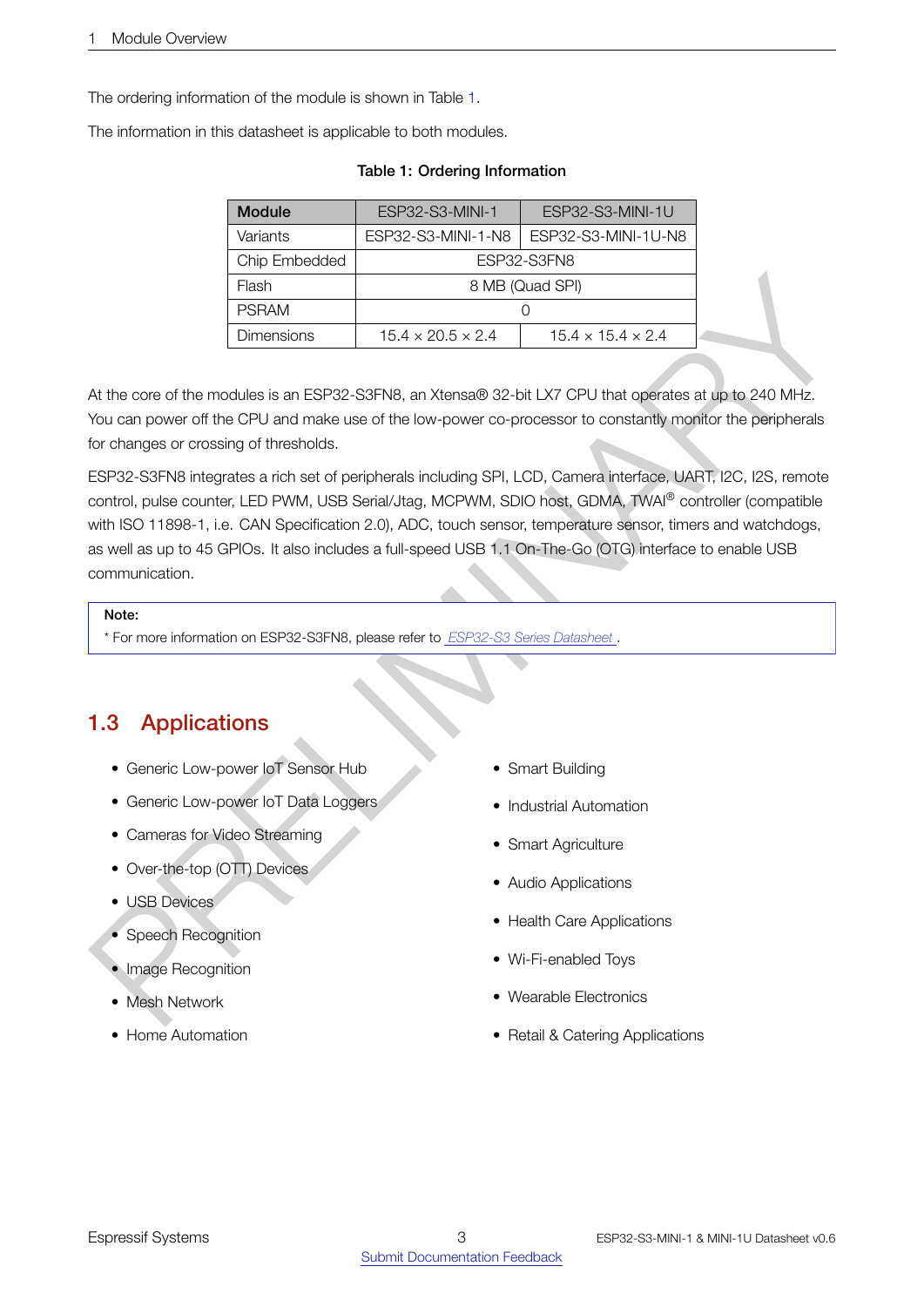The ordering information of the module is shown in Table [1.](#page-2-0)

<span id="page-2-0"></span>The information in this datasheet is applicable to both modules.

| <b>Module</b>                                      | ESP32-S3-MINI-1U<br>ESP32-S3-MINI-1 |                               |  |  |  |  |
|----------------------------------------------------|-------------------------------------|-------------------------------|--|--|--|--|
| Variants                                           | ESP32-S3-MINI-1-N8                  | ESP32-S3-MINI-1U-N8           |  |  |  |  |
| Chip Embedded                                      | ESP32-S3FN8                         |                               |  |  |  |  |
| Flash                                              | 8 MB (Quad SPI)                     |                               |  |  |  |  |
| <b>PSRAM</b>                                       |                                     |                               |  |  |  |  |
| <b>Dimensions</b><br>$15.4 \times 20.5 \times 2.4$ |                                     | $15.4 \times 15.4 \times 2.4$ |  |  |  |  |

#### Table 1: Ordering Information

At the core of the modules is an ESP32-S3FN8, an Xtensa® 32-bit LX7 CPU that operates at up to 240 MHz. You can power off the CPU and make use of the low-power co-processor to constantly monitor the peripherals for changes or crossing of thresholds.

Finally<br>
PREASE CRI[MI](http://espressif.com/sites/default/files/documentation/esp32-s3_datasheet_en.pdf)NARY BAR (Cluster SP)<br>
PREASE CRIMINARY BAR (Cluster SP)<br>
At the core of the crickless is an ESP52-S3FNB, an Xierseab 52-tail LX7 CPU fluid operatives at up to 240 MHz.<br>
Not can power of the CPU and ESP32-S3FN8 integrates a rich set of peripherals including SPI, LCD, Camera interface, UART, I2C, I2S, remote control, pulse counter, LED PWM, USB Serial/Jtag, MCPWM, SDIO host, GDMA, TWAI® controller (compatible with ISO 11898-1, i.e. CAN Specification 2.0), ADC, touch sensor, temperature sensor, timers and watchdogs, as well as up to 45 GPIOs. It also includes a full-speed USB 1.1 On-The-Go (OTG) interface to enable USB communication.

#### Note:

\* For more information on ESP32-S3FN8, please refer to *ESP32-S3 Series Datasheet* .

# <span id="page-2-1"></span>1.3 Applications

- Generic Low-power IoT Sensor Hub
- Generic Low-power IoT Data Loggers
- Cameras for Video Streaming
- Over-the-top (OTT) Devices
- USB Devices
- Speech Recognition
- Image Recognition
- Mesh Network
- Home Automation
- Smart Building
- Industrial Automation
- Smart Agriculture
- Audio Applications
- Health Care Applications
- Wi-Fi-enabled Toys
- Wearable Electronics
- Retail & Catering Applications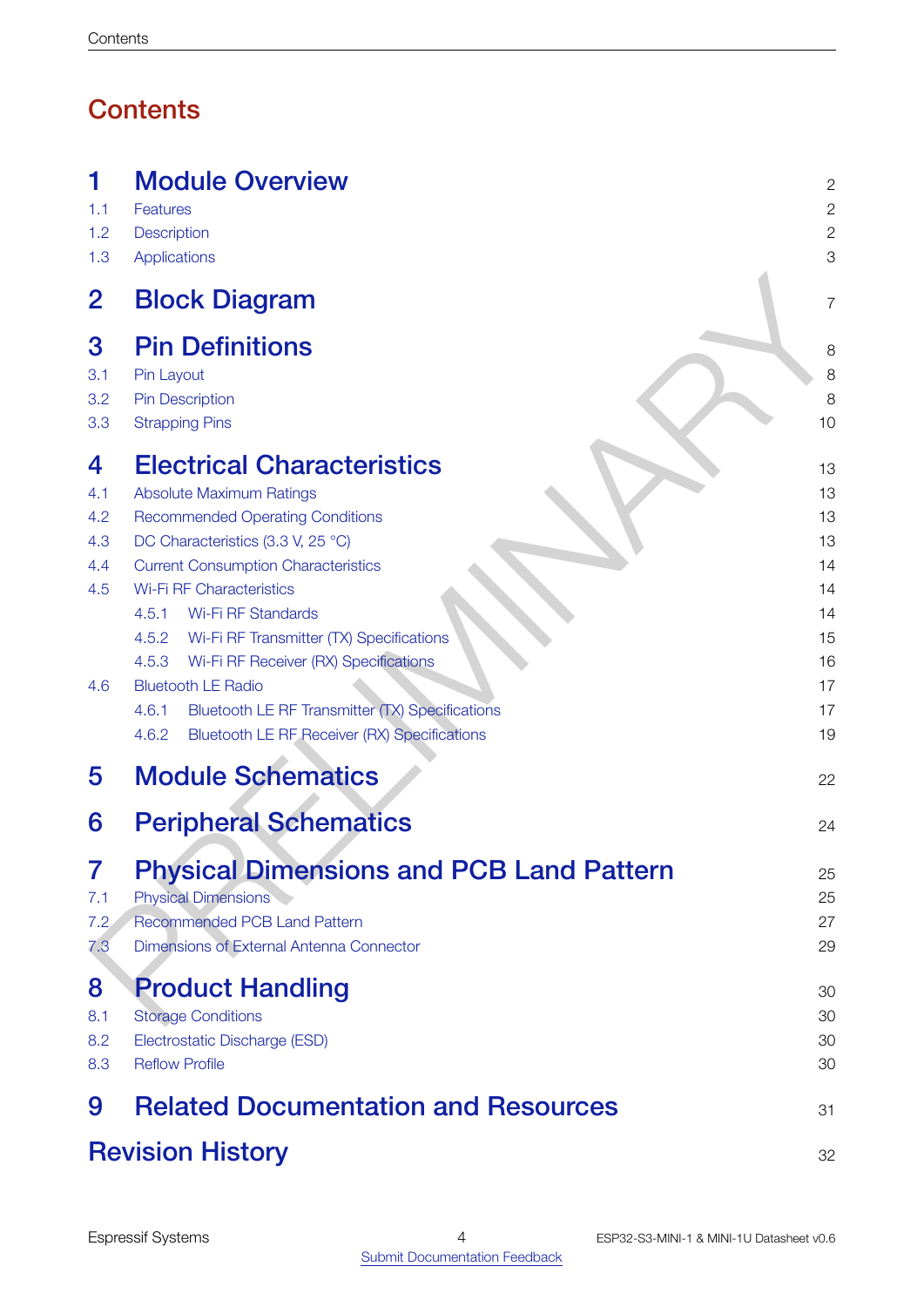# **Contents**

| 1                                           | <b>Module Overview</b>                                                                                                                                                                                                                                                                                                                                                                                                                                                                                                                      | $\mathbf{2}$                                                         |
|---------------------------------------------|---------------------------------------------------------------------------------------------------------------------------------------------------------------------------------------------------------------------------------------------------------------------------------------------------------------------------------------------------------------------------------------------------------------------------------------------------------------------------------------------------------------------------------------------|----------------------------------------------------------------------|
| 1.1                                         | Features                                                                                                                                                                                                                                                                                                                                                                                                                                                                                                                                    | $\mathbf{2}$                                                         |
| 1.2                                         | Description                                                                                                                                                                                                                                                                                                                                                                                                                                                                                                                                 | $\mathbf{2}$                                                         |
| 1.3                                         | <b>Applications</b>                                                                                                                                                                                                                                                                                                                                                                                                                                                                                                                         | 3                                                                    |
| $\overline{2}$                              | <b>Block Diagram</b>                                                                                                                                                                                                                                                                                                                                                                                                                                                                                                                        | $\overline{7}$                                                       |
| 3                                           | <b>Pin Definitions</b>                                                                                                                                                                                                                                                                                                                                                                                                                                                                                                                      | 8                                                                    |
| 3.1                                         | Pin Layout                                                                                                                                                                                                                                                                                                                                                                                                                                                                                                                                  | 8                                                                    |
| 3.2                                         | <b>Pin Description</b>                                                                                                                                                                                                                                                                                                                                                                                                                                                                                                                      | 8                                                                    |
| 3.3                                         | <b>Strapping Pins</b>                                                                                                                                                                                                                                                                                                                                                                                                                                                                                                                       | 10                                                                   |
| 4<br>4.1<br>4.2<br>4.3<br>4.4<br>4.5<br>4.6 | <b>Electrical Characteristics</b><br><b>Absolute Maximum Ratings</b><br><b>Recommended Operating Conditions</b><br>DC Characteristics (3.3 V, 25 °C)<br><b>Current Consumption Characteristics</b><br><b>Wi-Fi RF Characteristics</b><br><b>Wi-Fi RF Standards</b><br>4.5.1<br>Wi-Fi RF Transmitter (TX) Specifications<br>4.5.2<br>4.5.3<br>Wi-Fi RF Receiver (RX) Specifications<br><b>Bluetooth LE Radio</b><br>Bluetooth LE RF Transmitter (TX) Specifications<br>4.6.1<br><b>Bluetooth LE RF Receiver (RX) Specifications</b><br>4.6.2 | 13<br>13<br>13<br>13<br>14<br>14<br>14<br>15<br>16<br>17<br>17<br>19 |
| 5                                           | <b>Module Schematics</b>                                                                                                                                                                                                                                                                                                                                                                                                                                                                                                                    | 22                                                                   |
| 6                                           | <b>Peripheral Schematics</b>                                                                                                                                                                                                                                                                                                                                                                                                                                                                                                                | 24                                                                   |
| 7                                           | <b>Physical Dimensions and PCB Land Pattern</b>                                                                                                                                                                                                                                                                                                                                                                                                                                                                                             | 25                                                                   |
| 7.1                                         | <b>Physical Dimensions</b>                                                                                                                                                                                                                                                                                                                                                                                                                                                                                                                  | 25                                                                   |
| 7.2                                         | <b>Recommended PCB Land Pattern</b>                                                                                                                                                                                                                                                                                                                                                                                                                                                                                                         | 27                                                                   |
| 7.3                                         | Dimensions of External Antenna Connector                                                                                                                                                                                                                                                                                                                                                                                                                                                                                                    | 29                                                                   |
| 8                                           | <b>Product Handling</b>                                                                                                                                                                                                                                                                                                                                                                                                                                                                                                                     | 30                                                                   |
| 8.1                                         | <b>Storage Conditions</b>                                                                                                                                                                                                                                                                                                                                                                                                                                                                                                                   | 30                                                                   |
| 8.2                                         | Electrostatic Discharge (ESD)                                                                                                                                                                                                                                                                                                                                                                                                                                                                                                               | 30                                                                   |
| 8.3                                         | <b>Reflow Profile</b>                                                                                                                                                                                                                                                                                                                                                                                                                                                                                                                       | 30                                                                   |

| 9 Related Documentation and Resources |    |
|---------------------------------------|----|
| <b>Revision History</b>               | 32 |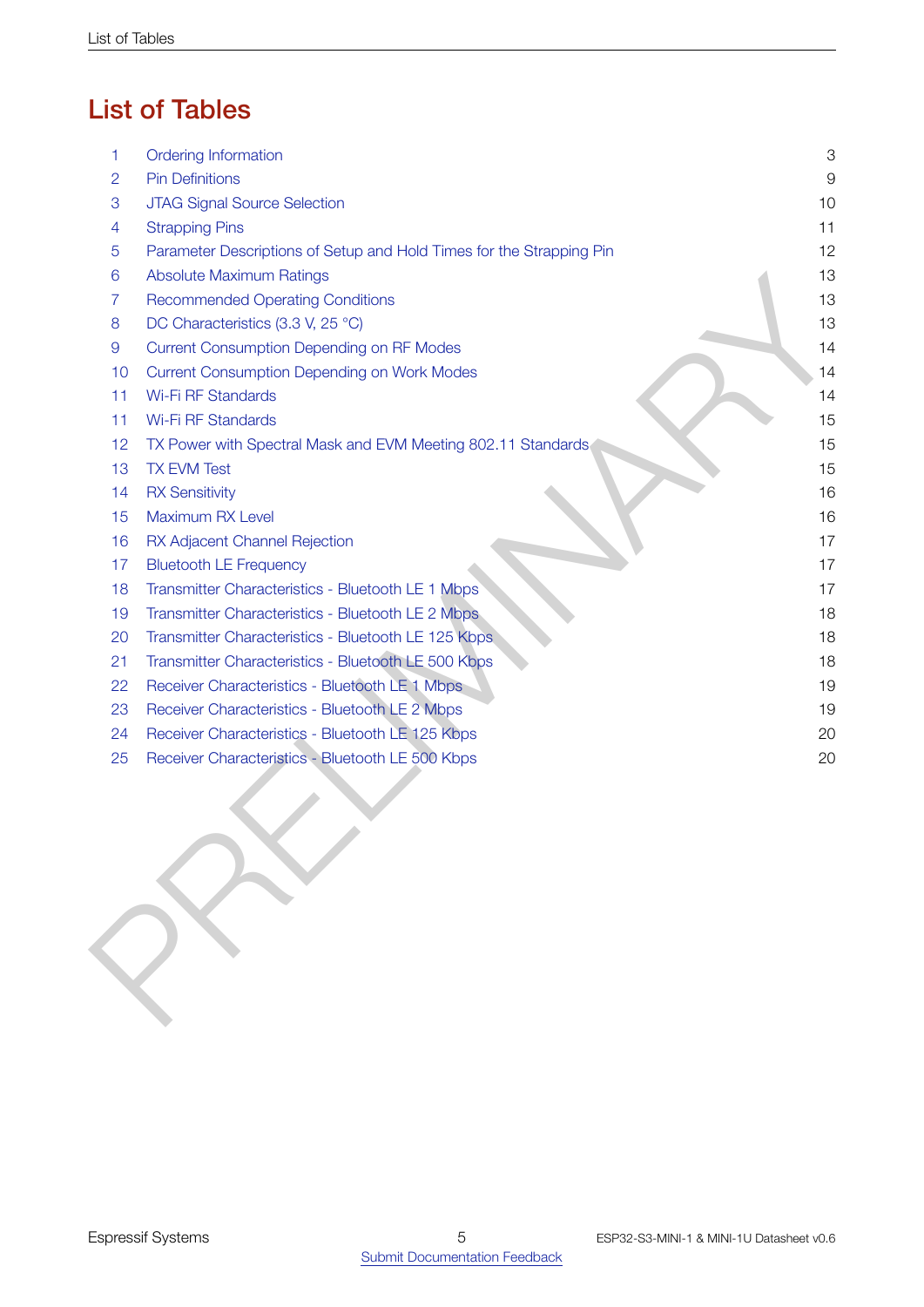# List of Tables

| 1              | Ordering Information                                                 | 3        |
|----------------|----------------------------------------------------------------------|----------|
| $\overline{2}$ | <b>Pin Definitions</b>                                               | $\Theta$ |
| 3              | JTAG Signal Source Selection                                         | 10       |
| 4              | <b>Strapping Pins</b>                                                | 11       |
| 5              | Parameter Descriptions of Setup and Hold Times for the Strapping Pin | 12       |
| 6              | <b>Absolute Maximum Ratings</b>                                      | 13       |
| $\overline{7}$ | <b>Recommended Operating Conditions</b>                              | 13       |
| 8              | DC Characteristics (3.3 V, 25 °C)                                    | 13       |
| $\overline{9}$ | <b>Current Consumption Depending on RF Modes</b>                     | 14       |
| 10             | <b>Current Consumption Depending on Work Modes</b>                   | 14       |
| 11             | Wi-Fi RF Standards                                                   | 14       |
| 11             | <b>Wi-Fi RF Standards</b>                                            | 15       |
| 12             | TX Power with Spectral Mask and EVM Meeting 802.11 Standards         | 15       |
| 13             | <b>TX EVM Test</b>                                                   | 15       |
| 14             | <b>RX Sensitivity</b>                                                | 16       |
| 15             | Maximum RX Level                                                     | 16       |
| 16             | RX Adjacent Channel Rejection                                        | 17       |
| 17             | <b>Bluetooth LE Frequency</b>                                        | 17       |
| 18             | Transmitter Characteristics - Bluetooth LE 1 Mbps                    | 17       |
| 19             | Transmitter Characteristics - Bluetooth LE 2 Mbps                    | 18       |
| 20             | Transmitter Characteristics - Bluetooth LE 125 Kbps                  | 18       |
| 21             | Transmitter Characteristics - Bluetooth LE 500 Kbps                  | 18       |
| 22             | Receiver Characteristics - Bluetooth LE 1 Mbps                       | 19       |
| 23             | Receiver Characteristics - Bluetooth LE 2 Mbps                       | 19       |
| 24             | Receiver Characteristics - Bluetooth LE 125 Kbps                     | 20       |
| 25             | Receiver Characteristics - Bluetooth LE 500 Kbps                     | 20       |
|                |                                                                      |          |
|                |                                                                      |          |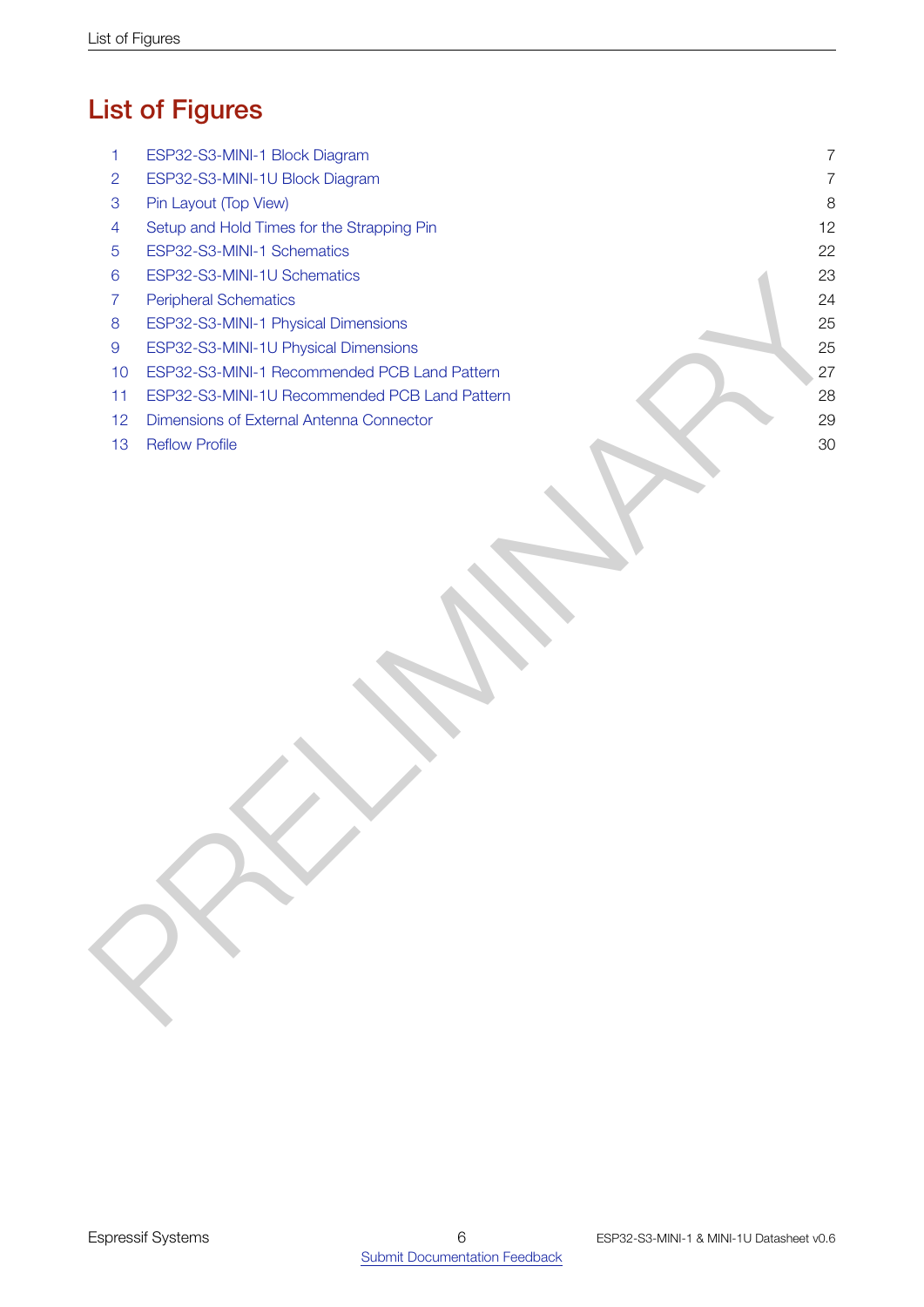# List of Figures

<span id="page-5-0"></span>

| 1                | ESP32-S3-MINI-1 Block Diagram                 | $\overline{7}$ |
|------------------|-----------------------------------------------|----------------|
| $\overline{2}$   | ESP32-S3-MINI-1U Block Diagram                | $\overline{7}$ |
| $\mathbf 3$      | Pin Layout (Top View)                         | 8              |
| 4                | Setup and Hold Times for the Strapping Pin    | 12             |
| 5                | ESP32-S3-MINI-1 Schematics                    | 22             |
| $6\phantom{1}6$  | ESP32-S3-MINI-1U Schematics                   | 23             |
| $\overline{7}$   | <b>Peripheral Schematics</b>                  | 24             |
| $\boldsymbol{8}$ | ESP32-S3-MINI-1 Physical Dimensions           | 25             |
| $\boldsymbol{9}$ | ESP32-S3-MINI-1U Physical Dimensions          | 25             |
| 10               | ESP32-S3-MINI-1 Recommended PCB Land Pattern  | 27             |
| 11               | ESP32-S3-MINI-1U Recommended PCB Land Pattern | 28             |
| 12               | Dimensions of External Antenna Connector      | 29             |
| 13               | <b>Reflow Profile</b>                         | 30             |
|                  |                                               |                |
|                  |                                               |                |
|                  |                                               |                |
|                  |                                               |                |
|                  |                                               |                |
|                  |                                               |                |
|                  |                                               |                |
|                  |                                               |                |
|                  |                                               |                |
|                  |                                               |                |
|                  |                                               |                |
|                  |                                               |                |
|                  |                                               |                |
|                  |                                               |                |
|                  |                                               |                |
|                  |                                               |                |
|                  |                                               |                |
|                  |                                               |                |
|                  |                                               |                |
|                  |                                               |                |
|                  |                                               |                |
|                  |                                               |                |
|                  |                                               |                |
|                  |                                               |                |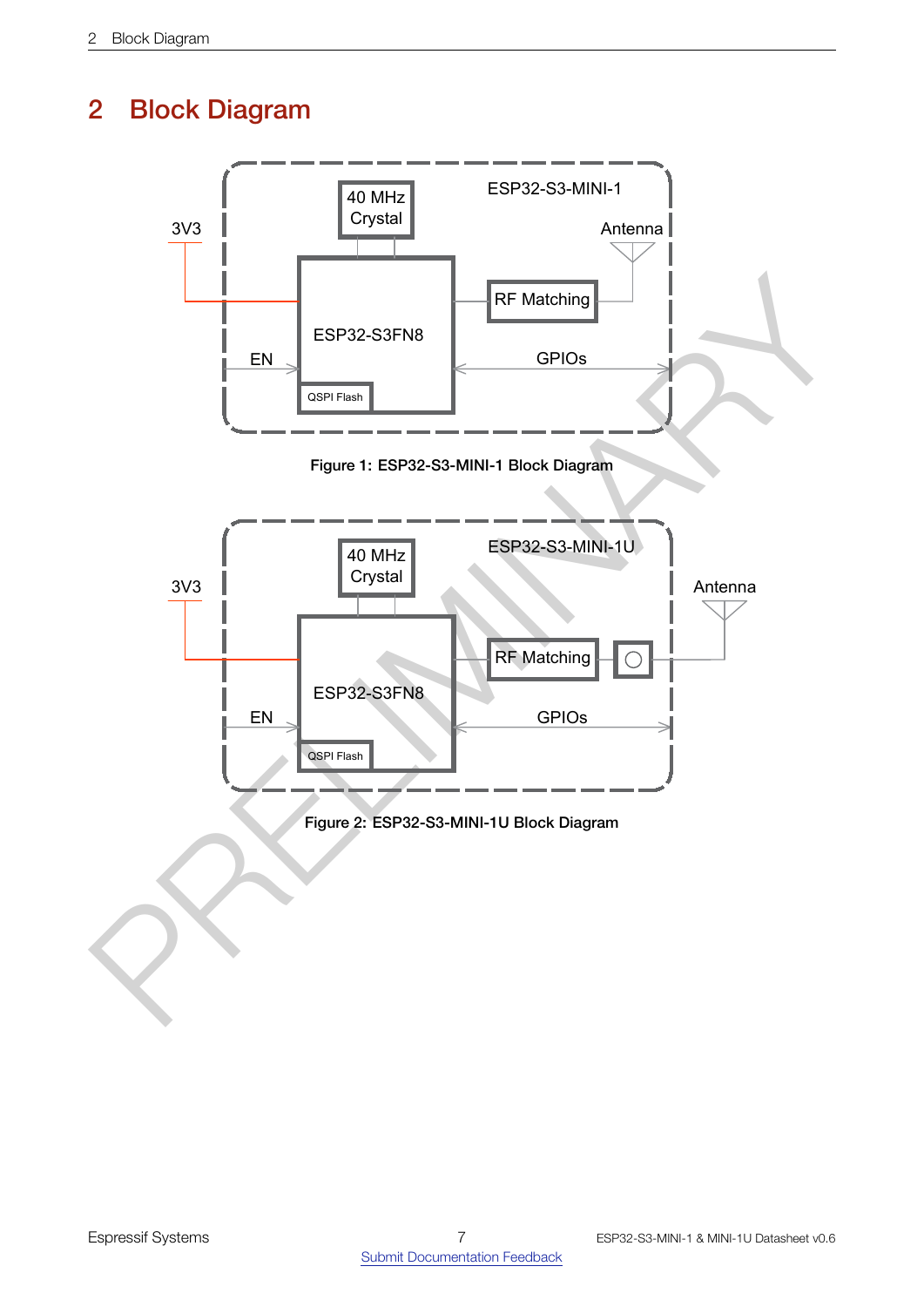# 2 Block Diagram

<span id="page-6-1"></span><span id="page-6-0"></span>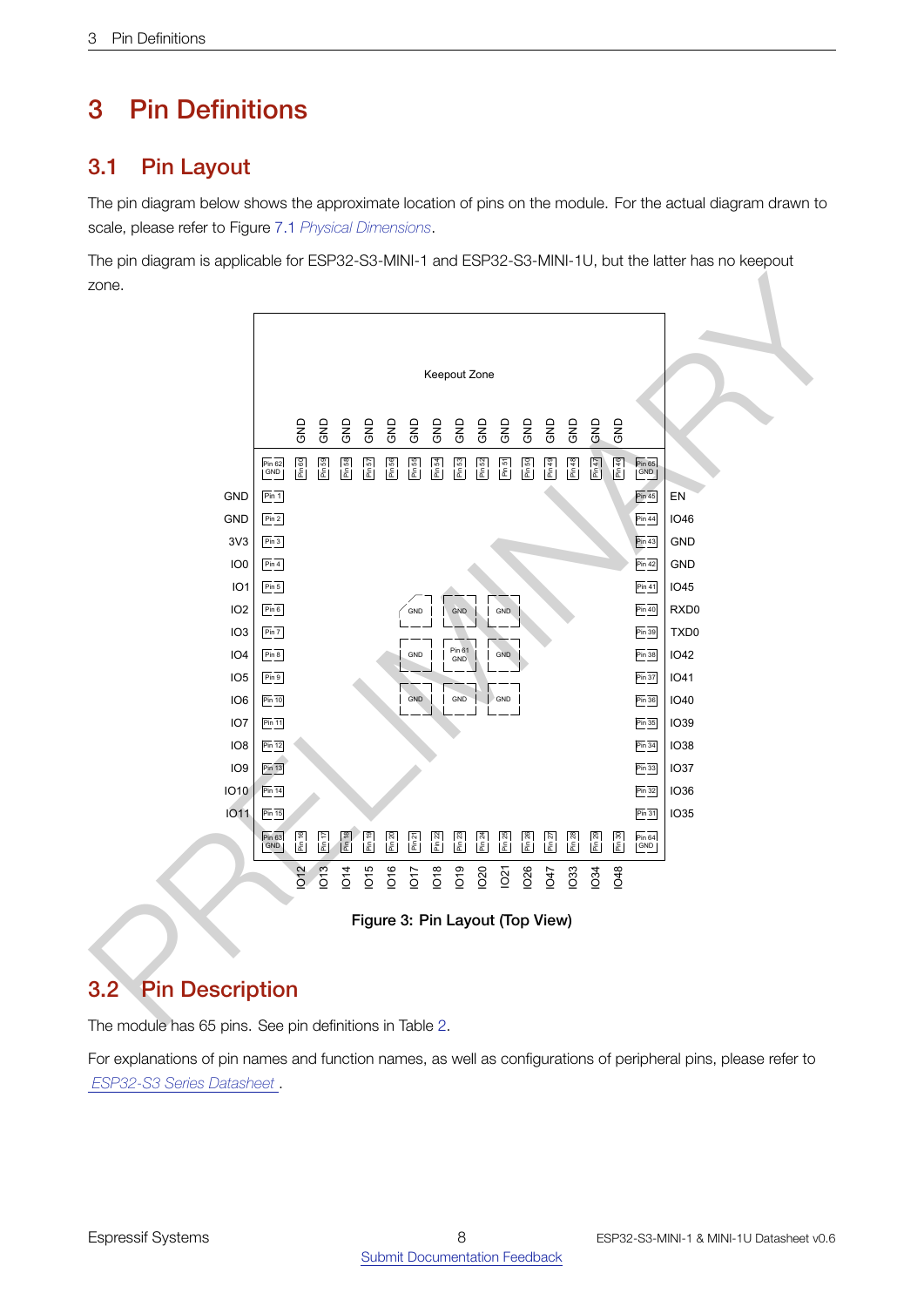# <span id="page-7-0"></span>3 Pin Definitions

# <span id="page-7-1"></span>3.1 Pin Layout

The pin diagram below shows the approximate location of pins on the module. For the actual diagram drawn to scale, please refer to Figure [7.1](#page-24-0) *[Physical Dimensions](#page-24-0)*.

The pin diagram is applicable for ESP32-S3-MINI-1 and ESP32-S3-MINI-1U, but the latter has no keepout zone.

<span id="page-7-4"></span>

Figure 3: Pin Layout (Top View)

# <span id="page-7-2"></span>3.2 Pin Description

The module has 65 pins. See pin definitions in Table [2.](#page-7-3)

<span id="page-7-3"></span>For explanations of pin names and function names, as well as configurations of peripheral pins, please refer to *[ESP32-S3 Series Datasheet](http://espressif.com/sites/default/files/documentation/esp32-s3_datasheet_en.pdf)* .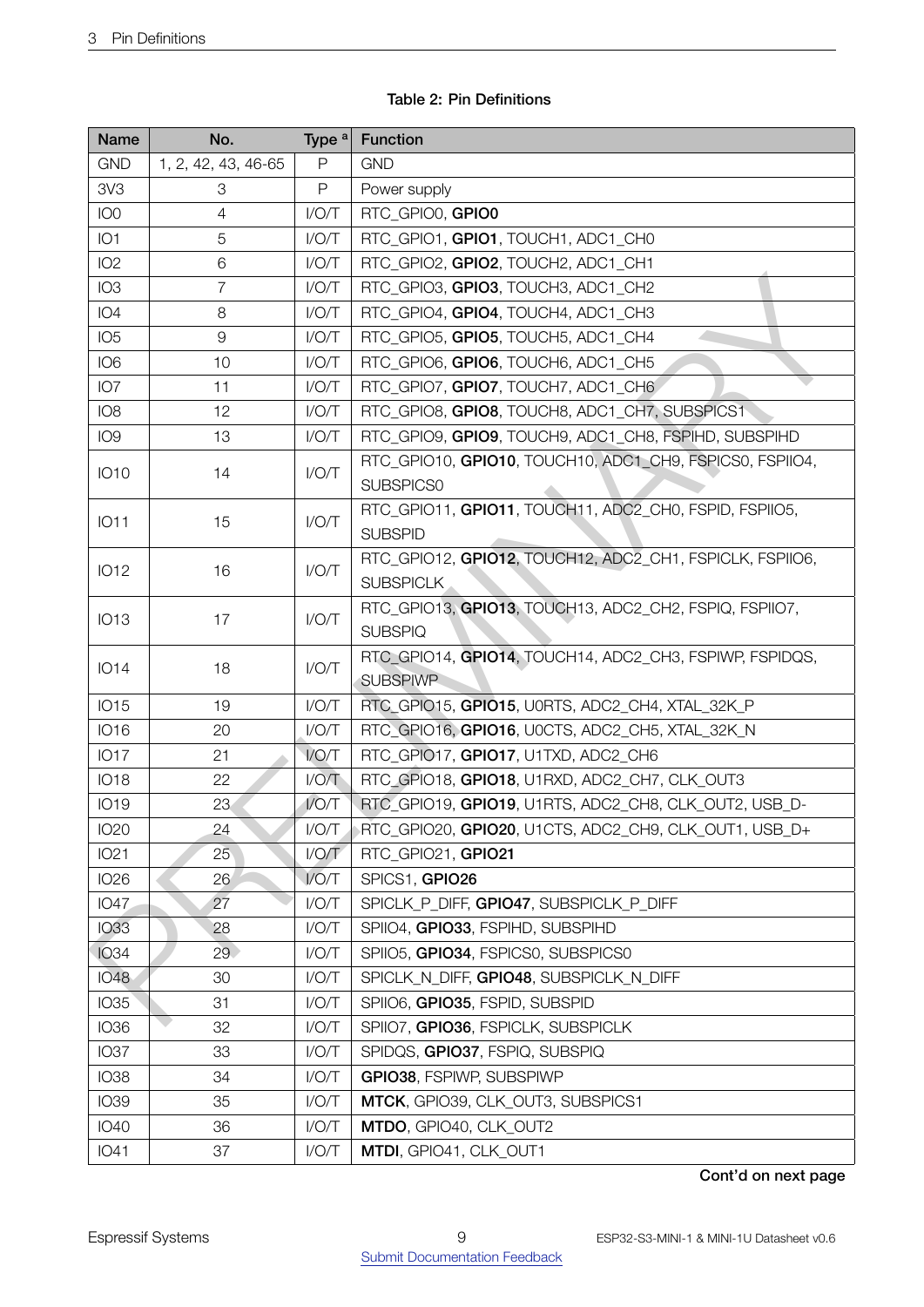| <b>Name</b>     | No.                 | Type <sup>a</sup> | <b>Function</b>                                                              |  |  |
|-----------------|---------------------|-------------------|------------------------------------------------------------------------------|--|--|
| <b>GND</b>      | 1, 2, 42, 43, 46-65 | P                 | <b>GND</b>                                                                   |  |  |
| 3V3             | 3                   | P                 | Power supply                                                                 |  |  |
| IO <sub>0</sub> | 4                   | I/O/T             | RTC_GPIO0, GPIO0                                                             |  |  |
| IO <sub>1</sub> | 5                   | I/O/T             | RTC_GPIO1, GPIO1, TOUCH1, ADC1_CH0                                           |  |  |
| IO <sub>2</sub> | 6                   | I/O/T             | RTC_GPIO2, GPIO2, TOUCH2, ADC1_CH1                                           |  |  |
| IO <sub>3</sub> | $\overline{7}$      | I/O/T             | RTC_GPIO3, GPIO3, TOUCH3, ADC1_CH2                                           |  |  |
| IO <sub>4</sub> | 8                   | I/O/T             | RTC_GPIO4, GPIO4, TOUCH4, ADC1_CH3                                           |  |  |
| IO <sub>5</sub> | 9                   | I/O/T             | RTC_GPIO5, GPIO5, TOUCH5, ADC1_CH4                                           |  |  |
| IO <sub>6</sub> | 10                  | I/O/T             | RTC_GPIO6, GPIO6, TOUCH6, ADC1_CH5                                           |  |  |
| IO <sub>7</sub> | 11                  | I/O/T             | RTC_GPIO7, GPIO7, TOUCH7, ADC1_CH6                                           |  |  |
| IO <sub>8</sub> | 12                  | I/O/T             | RTC_GPIO8, GPIO8, TOUCH8, ADC1_CH7, SUBSPICS1                                |  |  |
| IO <sub>9</sub> | 13                  | I/O/T             | RTC_GPIO9, GPIO9, TOUCH9, ADC1_CH8, FSPIHD, SUBSPIHD                         |  |  |
| <b>IO10</b>     | 14                  | I/O/T             | RTC_GPIO10, GPIO10, TOUCH10, ADC1_CH9, FSPICS0, FSPIIO4,<br>SUBSPICS0        |  |  |
| <b>IO11</b>     | 15                  | I/O/T             | RTC_GPIO11, GPIO11, TOUCH11, ADC2_CH0, FSPID, FSPIIO5,<br><b>SUBSPID</b>     |  |  |
| <b>IO12</b>     | 16                  | I/O/T             | RTC_GPIO12, GPIO12, TOUCH12, ADC2_CH1, FSPICLK, FSPIIO6,<br><b>SUBSPICLK</b> |  |  |
| <b>IO13</b>     | 17                  | I/O/T             | RTC_GPIO13, GPIO13, TOUCH13, ADC2_CH2, FSPIQ, FSPIIO7,<br><b>SUBSPIQ</b>     |  |  |
| <b>IO14</b>     | 18                  | I/O/T             | RTC_GPIO14, GPIO14, TOUCH14, ADC2_CH3, FSPIWP, FSPIDQS,<br><b>SUBSPIWP</b>   |  |  |
| <b>IO15</b>     | 19                  | I/O/T             | RTC_GPIO15, GPIO15, U0RTS, ADC2_CH4, XTAL_32K_P                              |  |  |
| <b>IO16</b>     | 20                  | I/O/T             | RTC_GPIO16, GPIO16, U0CTS, ADC2_CH5, XTAL_32K_N                              |  |  |
| <b>IO17</b>     | 21                  | I/O/T             | RTC GPIO17, GPIO17, U1TXD, ADC2 CH6                                          |  |  |
| <b>IO18</b>     | 22                  | I/O/T             | RTC GPIO18, GPIO18, U1RXD, ADC2 CH7, CLK OUT3                                |  |  |
| <b>IO19</b>     | 23                  | I/O/T             | RTC_GPIO19, GPIO19, U1RTS, ADC2_CH8, CLK_OUT2, USB_D-                        |  |  |
| <b>IO20</b>     | 24                  | I/O/T             | RTC_GPIO20, GPIO20, U1CTS, ADC2_CH9, CLK_OUT1, USB_D+                        |  |  |
| <b>IO21</b>     | 25                  | I/O/T             | RTC_GPIO21, GPIO21                                                           |  |  |
| <b>IO26</b>     | 26                  | I/O/T             | SPICS1, GPIO26                                                               |  |  |
| <b>IO47</b>     | 27                  | I/O/T             | SPICLK P DIFF, GPIO47, SUBSPICLK P DIFF                                      |  |  |
| <b>IO33</b>     | 28                  | I/O/T             | SPIIO4, GPIO33, FSPIHD, SUBSPIHD                                             |  |  |
| <b>IO34</b>     | 29                  | I/O/T             | SPIIO5, GPIO34, FSPICS0, SUBSPICS0                                           |  |  |
| <b>IO48</b>     | 30                  | I/O/T             | SPICLK_N_DIFF, GPIO48, SUBSPICLK_N_DIFF                                      |  |  |
| <b>IO35</b>     | 31                  | I/O/T             | SPIIO6, GPIO35, FSPID, SUBSPID                                               |  |  |
| <b>IO36</b>     | 32                  | I/O/T             | SPIIO7, GPIO36, FSPICLK, SUBSPICLK                                           |  |  |
| <b>IO37</b>     | 33                  | I/O/T             | SPIDQS, GPIO37, FSPIQ, SUBSPIQ                                               |  |  |
| <b>IO38</b>     | 34                  | I/O/T             | GPIO38, FSPIWP, SUBSPIWP                                                     |  |  |
| <b>IO39</b>     | 35                  | I/O/T             | MTCK, GPIO39, CLK_OUT3, SUBSPICS1                                            |  |  |
| <b>IO40</b>     | 36                  | I/O/T             | MTDO, GPIO40, CLK_OUT2                                                       |  |  |
| <b>IO41</b>     | 37                  | I/O/T             | MTDI, GPIO41, CLK_OUT1                                                       |  |  |

## Table 2: Pin Definitions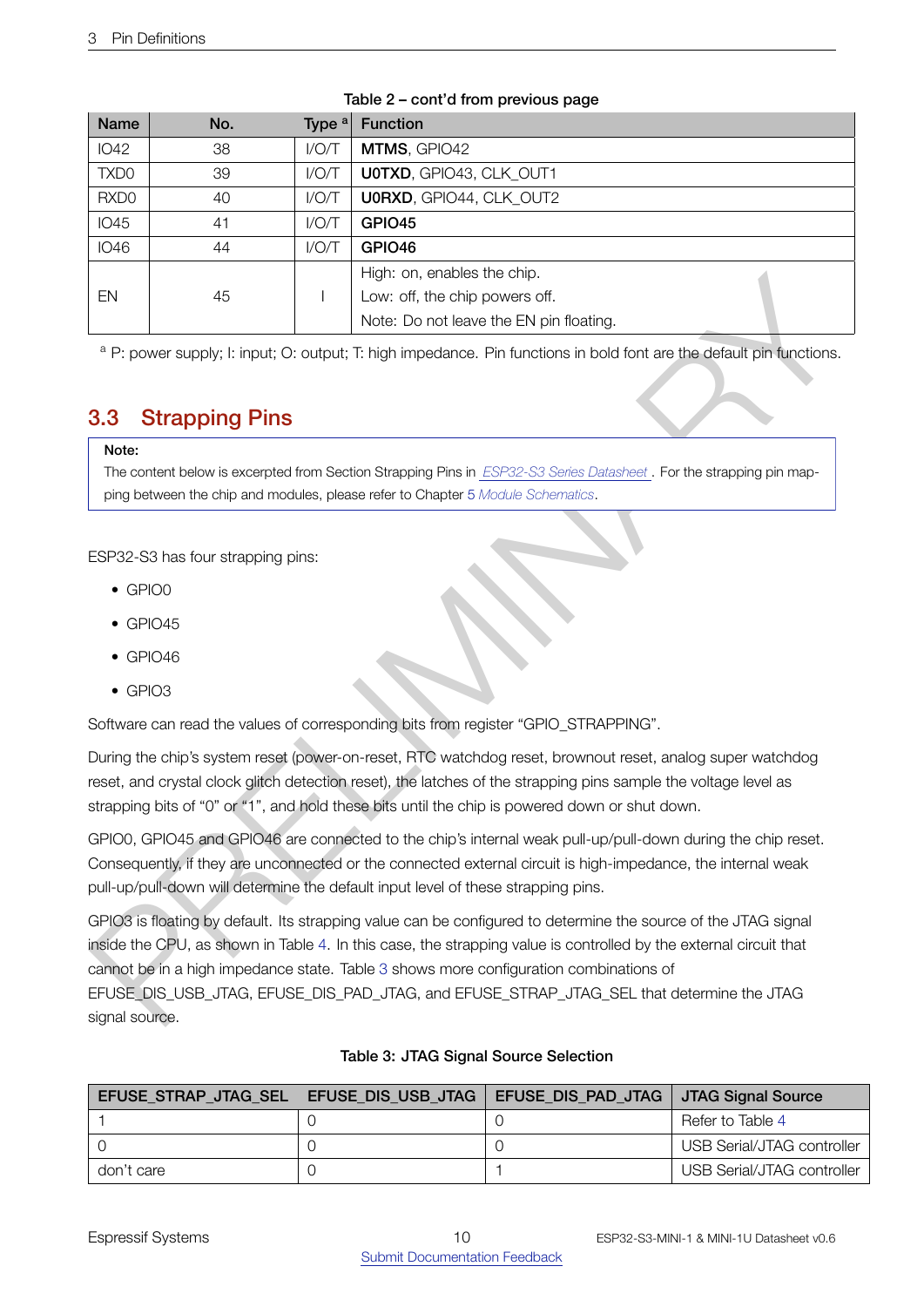| <b>Name</b>      | No. | Type $a$ | <b>Function</b>                         |
|------------------|-----|----------|-----------------------------------------|
| <b>IO42</b>      | 38  | I/O/T    | MTMS, GPIO42                            |
| TXD <sub>0</sub> | 39  | I/O/T    | UOTXD, GPIO43, CLK OUT1                 |
| RXD <sub>0</sub> | 40  | I/O/T    | <b>U0RXD, GPIO44, CLK OUT2</b>          |
| <b>IO45</b>      | 41  | I/O/T    | GPIO <sub>45</sub>                      |
| <b>IO46</b>      | 44  | I/O/T    | GPIO <sub>46</sub>                      |
|                  |     |          | High: on, enables the chip.             |
| EN               | 45  |          | Low: off, the chip powers off.          |
|                  |     |          | Note: Do not leave the EN pin floating. |

#### Table 2 – cont'd from previous page

<sup>a</sup> P: power supply; I: input; O: output; T: high impedance. Pin functions in bold font are the default pin functions.

# <span id="page-9-0"></span>3.3 Strapping Pins

#### Note:

The content below is excerpted from Section Strapping Pins in *ESP32-S3 Series Datasheet* . For the strapping pin mapping between the chip and modules, please refer to Chapter 5 *Module Schematics*.

ESP32-S3 has four strapping pins:

- GPIO0
- $\bullet$  GPIO45
- $\bullet$  GPIO46
- GPIO3

Software can read the values of corresponding bits from register "GPIO\_STRAPPING".

During the chip's system reset (power-on-reset, RTC watchdog reset, brownout reset, analog super watchdog reset, and crystal clock glitch detection reset), the latches of the strapping pins sample the voltage level as strapping bits of "0" or "1", and hold these bits until the chip is powered down or shut down.

GPIO0, GPIO45 and GPIO46 are connected to the chip's internal weak pull-up/pull-down during the chip reset. Consequently, if they are unconnected or the connected external circuit is high-impedance, the internal weak pull-up/pull-down will determine the default input level of these strapping pins.

E[N](#page-21-0) and 5<br>
Proposes supply, it input: O: output, Thigh impedence. Fin functors in objecting.<br>
The lower of the change in Fact in the seventhe EN prince for the Fe disturbations.<br> **3.3 Strapping Pins**<br>
Note: Do: not leave th GPIO3 is floating by default. Its strapping value can be configured to determine the source of the JTAG signal inside the CPU, as shown in Table 4. In this case, the strapping value is controlled by the external circuit that cannot be in a high impedance state. Table 3 shows more configuration combinations of EFUSE\_DIS\_USB\_JTAG, EFUSE\_DIS\_PAD\_JTAG, and EFUSE\_STRAP\_JTAG\_SEL that determine the JTAG signal source.

<span id="page-9-1"></span>

| EFUSE STRAP JTAG SEL   EFUSE DIS USB JTAG | EFUSE_DIS_PAD_JTAG   JTAG Signal Source |                            |
|-------------------------------------------|-----------------------------------------|----------------------------|
|                                           |                                         | Refer to Table 4           |
|                                           |                                         | USB Serial/JTAG controller |
| don't care                                |                                         | USB Serial/JTAG controller |

#### Table 3: JTAG Signal Source Selection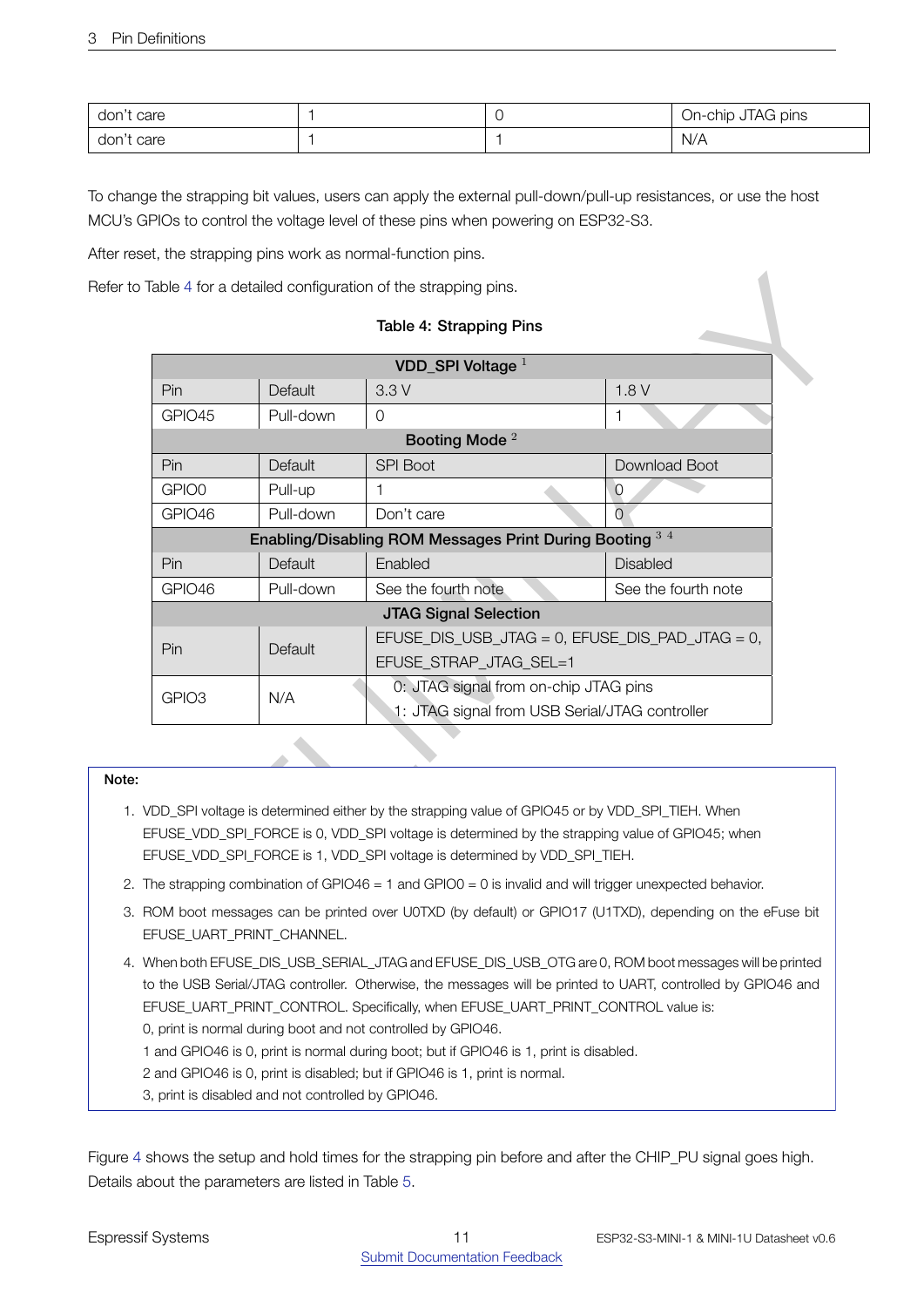| don't<br>care |  | JTAG pins<br>On-chip |
|---------------|--|----------------------|
| don't<br>care |  | N/A                  |

To change the strapping bit values, users can apply the external pull-down/pull-up resistances, or use the host MCU's GPIOs to control the voltage level of these pins when powering on ESP32-S3.

After reset, the strapping pins work as normal-function pins.

#### Table 4: Strapping Pins

<span id="page-10-0"></span>

|                                                                                                                                        |                                                 |           | Refer to Table 4 for a detailed configuration of the strapping pins.                                                                                                                                                                                                                                                                                              |                     |  |  |
|----------------------------------------------------------------------------------------------------------------------------------------|-------------------------------------------------|-----------|-------------------------------------------------------------------------------------------------------------------------------------------------------------------------------------------------------------------------------------------------------------------------------------------------------------------------------------------------------------------|---------------------|--|--|
|                                                                                                                                        |                                                 |           | Table 4: Strapping Pins                                                                                                                                                                                                                                                                                                                                           |                     |  |  |
|                                                                                                                                        |                                                 |           | VDD SPI Voltage $1$                                                                                                                                                                                                                                                                                                                                               |                     |  |  |
|                                                                                                                                        | 1.8V<br>Pin<br>3.3V<br>Default                  |           |                                                                                                                                                                                                                                                                                                                                                                   |                     |  |  |
|                                                                                                                                        | GPIO45                                          | Pull-down | $\mathbf 0$                                                                                                                                                                                                                                                                                                                                                       | 1                   |  |  |
|                                                                                                                                        |                                                 |           | Booting Mode <sup>2</sup>                                                                                                                                                                                                                                                                                                                                         |                     |  |  |
|                                                                                                                                        | Pin                                             | Default   | <b>SPI Boot</b>                                                                                                                                                                                                                                                                                                                                                   | Download Boot       |  |  |
|                                                                                                                                        | GPIO0                                           | Pull-up   | 1                                                                                                                                                                                                                                                                                                                                                                 | $\circ$             |  |  |
|                                                                                                                                        | GPIO46                                          | Pull-down | Don't care                                                                                                                                                                                                                                                                                                                                                        | $\Omega$            |  |  |
|                                                                                                                                        |                                                 |           | Enabling/Disabling ROM Messages Print During Booting 34                                                                                                                                                                                                                                                                                                           |                     |  |  |
|                                                                                                                                        | Pin                                             | Default   | Enabled                                                                                                                                                                                                                                                                                                                                                           | <b>Disabled</b>     |  |  |
|                                                                                                                                        | GPIO46                                          | Pull-down | See the fourth note                                                                                                                                                                                                                                                                                                                                               | See the fourth note |  |  |
|                                                                                                                                        |                                                 |           | <b>JTAG Signal Selection</b>                                                                                                                                                                                                                                                                                                                                      |                     |  |  |
|                                                                                                                                        | EFUSE_DIS_USB_JTAG = 0, EFUSE_DIS_PAD_JTAG = 0, |           |                                                                                                                                                                                                                                                                                                                                                                   |                     |  |  |
|                                                                                                                                        | Pin<br>Default<br>EFUSE_STRAP_JTAG_SEL=1        |           |                                                                                                                                                                                                                                                                                                                                                                   |                     |  |  |
|                                                                                                                                        | GPIO <sub>3</sub>                               | N/A       | 0: JTAG signal from on-chip JTAG pins                                                                                                                                                                                                                                                                                                                             |                     |  |  |
|                                                                                                                                        |                                                 |           | 1: JTAG signal from USB Serial/JTAG controller                                                                                                                                                                                                                                                                                                                    |                     |  |  |
|                                                                                                                                        |                                                 |           |                                                                                                                                                                                                                                                                                                                                                                   |                     |  |  |
| Note:                                                                                                                                  |                                                 |           |                                                                                                                                                                                                                                                                                                                                                                   |                     |  |  |
|                                                                                                                                        |                                                 |           | 1. VDD_SPI voltage is determined either by the strapping value of GPIO45 or by VDD_SPI_TIEH. When<br>EFUSE_VDD_SPI_FORCE is 0, VDD_SPI voltage is determined by the strapping value of GPIO45; when<br>EFUSE_VDD_SPI_FORCE is 1, VDD_SPI voltage is determined by VDD_SPI_TIEH.                                                                                   |                     |  |  |
|                                                                                                                                        |                                                 |           | 2. The strapping combination of GPIO46 = 1 and GPIO0 = 0 is invalid and will trigger unexpected behavior.                                                                                                                                                                                                                                                         |                     |  |  |
| 3. ROM boot messages can be printed over UOTXD (by default) or GPIO17 (U1TXD), depending on the eFuse bit<br>EFUSE_UART_PRINT_CHANNEL. |                                                 |           |                                                                                                                                                                                                                                                                                                                                                                   |                     |  |  |
|                                                                                                                                        |                                                 |           | 4. When both EFUSE_DIS_USB_SERIAL_JTAG and EFUSE_DIS_USB_OTG are 0, ROM boot messages will be printed<br>to the USB Serial/JTAG controller. Otherwise, the messages will be printed to UART, controlled by GPIO46 and<br>EFUSE_UART_PRINT_CONTROL. Specifically, when EFUSE_UART_PRINT_CONTROL value is:<br>$\mathbf{r}$ . The state is the state of $\mathbf{r}$ |                     |  |  |

#### Note:

- 1. VDD\_SPI voltage is determined either by the strapping value of GPIO45 or by VDD\_SPI\_TIEH. When EFUSE\_VDD\_SPI\_FORCE is 0, VDD\_SPI voltage is determined by the strapping value of GPIO45; when EFUSE\_VDD\_SPI\_FORCE is 1, VDD\_SPI voltage is determined by VDD\_SPI\_TIEH.
- 2. The strapping combination of GPIO46 = 1 and GPIO0 = 0 is invalid and will trigger unexpected behavior.
- 3. ROM boot messages can be printed over U0TXD (by default) or GPIO17 (U1TXD), depending on the eFuse bit EFUSE\_UART\_PRINT\_CHANNEL.
- 4. When both EFUSE\_DIS\_USB\_SERIAL\_JTAG and EFUSE\_DIS\_USB\_OTG are 0, ROM boot messages will be printed to the USB Serial/JTAG controller. Otherwise, the messages will be printed to UART, controlled by GPIO46 and EFUSE\_UART\_PRINT\_CONTROL. Specifically, when EFUSE\_UART\_PRINT\_CONTROL value is: 0, print is normal during boot and not controlled by GPIO46.

- 1 and GPIO46 is 0, print is normal during boot; but if GPIO46 is 1, print is disabled.
- 2 and GPIO46 is 0, print is disabled; but if GPIO46 is 1, print is normal.
- 3, print is disabled and not controlled by GPIO46.

Figure [4](#page-11-2) shows the setup and hold times for the strapping pin before and after the CHIP\_PU signal goes high. Details about the parameters are listed in Table [5](#page-11-1).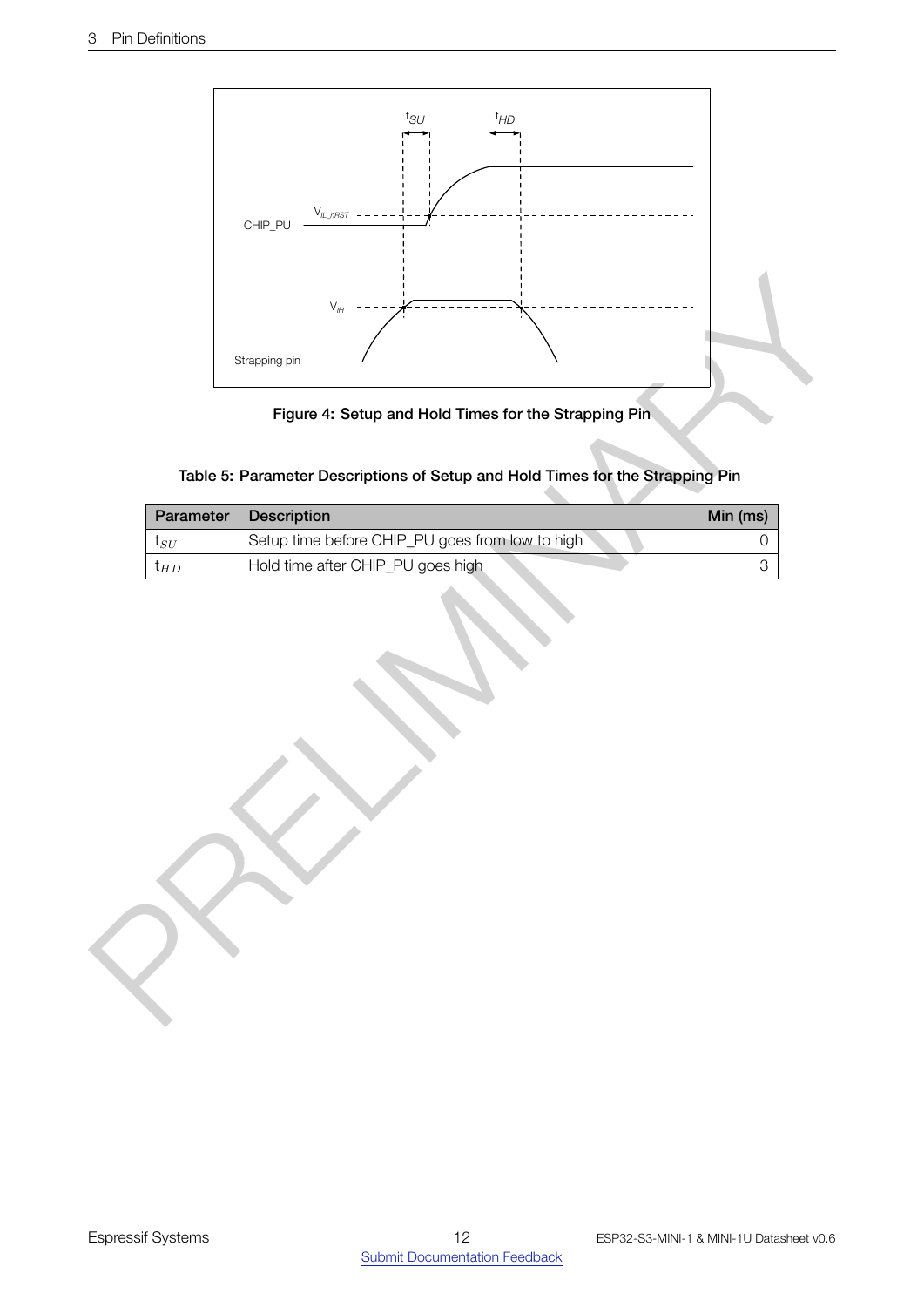<span id="page-11-2"></span>

Figure 4: Setup and Hold Times for the Strapping Pin

|  | Table 5: Parameter Descriptions of Setup and Hold Times for the Strapping Pin |  |  |  |
|--|-------------------------------------------------------------------------------|--|--|--|

<span id="page-11-1"></span><span id="page-11-0"></span>

| Parameter    | <b>Description</b>                              | Min (ms) |
|--------------|-------------------------------------------------|----------|
| $\iota_{SU}$ | Setup time before CHIP_PU goes from low to high |          |
| l H D        | Hold time after CHIP_PU goes high               |          |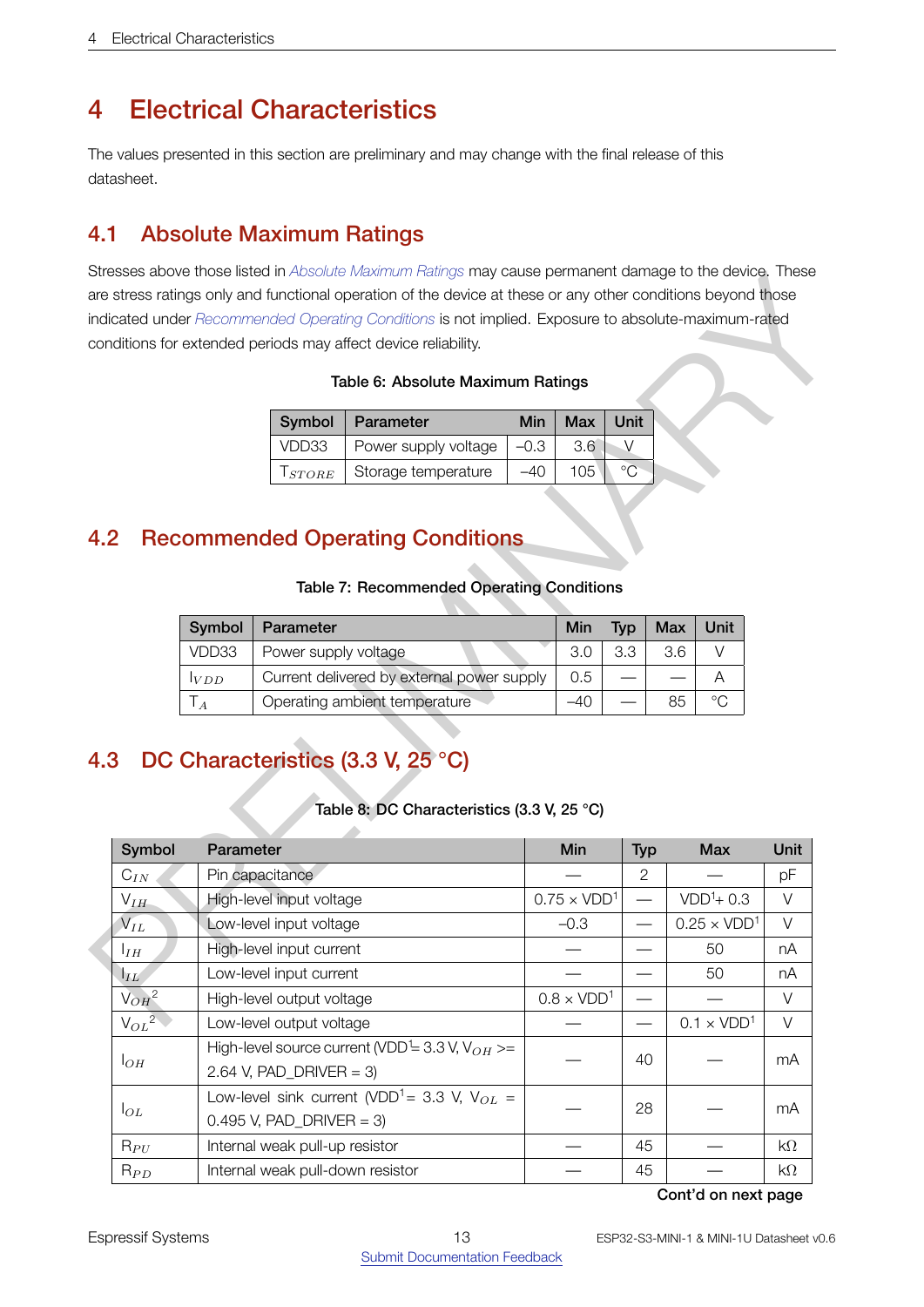# 4 Electrical Characteristics

The values presented in this section are preliminary and may change with the final release of this datasheet.

# <span id="page-12-0"></span>4.1 Absolute Maximum Ratings

Stresses above those listed in *[Absolute Maximum Ratings](#page-12-3)* may cause permanent damage to the device. These are stress ratings only and functional operation of the device at these or any other conditions beyond those indicated under *Recommended Operating Conditions* is not implied. Exposure to absolute-maximum-rated conditions for extended periods may affect device reliability.

#### Table 6: Absolute Maximum Ratings

|                  | Symbol   Parameter   | <b>Min</b> | <b>Max</b> | Unit |
|------------------|----------------------|------------|------------|------|
| VDD33            | Power supply voltage | $-0.3$     | 3.6        |      |
| $1$ <i>STORE</i> | Storage temperature  |            | 105        |      |

# <span id="page-12-4"></span><span id="page-12-1"></span>4.2 Recommended Operating Conditions

## Table 7: Recommended Operating Conditions

| Symbol | Parameter                                  | <b>Min</b> | Typ              | Max Unit |         |
|--------|--------------------------------------------|------------|------------------|----------|---------|
| VDD33  | Power supply voltage                       | 3.0        | 3.3 <sup>°</sup> | 3.6      |         |
| VDD    | Current delivered by external power supply | 0.5        |                  |          |         |
|        | Operating ambient temperature              |            |                  | 85       | $\circ$ |

# <span id="page-12-5"></span><span id="page-12-2"></span>4.3 DC Characteristics (3.3 V, 25 °C)

#### Table 8: DC Characteristics (3.3 V, 25 °C)

<span id="page-12-3"></span>

| indicated under Recommended Operating Conditions is not implied. Exposure to absolute-maximum-rated<br>conditions for extended periods may affect device reliability.<br>Table 6: Absolute Maximum Ratings<br><b>Unit</b><br>Symbol<br>Parameter<br>Min<br><b>Max</b><br>VDD33<br>Power supply voltage<br>$-0.3$<br>3.6<br>$\vee$<br>$\rm ^{\circ}C$<br>105<br>Storage temperature<br>$-40$<br>$T_{STOP}$<br>4.2<br><b>Recommended Operating Conditions</b><br>Table 7: Recommended Operating Conditions<br>Parameter<br>Symbol<br><b>Max</b><br><b>Unit</b><br>Min<br><b>Typ</b><br>3.3<br>VDD33<br>V<br>Power supply voltage<br>3.0<br>3.6<br>Current delivered by external power supply<br>0.5<br>A<br>VDD<br>Operating ambient temperature<br>$^{\circ}C$<br>$-40$<br>85<br>$\mathsf{T}_A$<br>DC Characteristics (3.3 V, 25 °C)<br>4.3<br>Table 8: DC Characteristics (3.3 V, 25 °C)<br>Symbol<br>Parameter<br>Min<br><b>Typ</b><br><b>Max</b><br>$\overline{c}$<br>Pin capacitance<br>$C_{IN}$<br>$VDD1+0.3$<br>High-level input voltage<br>$0.75 \times VDD1$<br>$V_{IH}$<br>$\overline{\phantom{0}}$<br>$0.25 \times VDD1$<br>$\mathsf{V}_{IL}$<br>Low-level input voltage<br>$-0.3$ |  |  |  |  | are stress ratings only and functional operation of the device at these or any other conditions beyond those |             |
|---------------------------------------------------------------------------------------------------------------------------------------------------------------------------------------------------------------------------------------------------------------------------------------------------------------------------------------------------------------------------------------------------------------------------------------------------------------------------------------------------------------------------------------------------------------------------------------------------------------------------------------------------------------------------------------------------------------------------------------------------------------------------------------------------------------------------------------------------------------------------------------------------------------------------------------------------------------------------------------------------------------------------------------------------------------------------------------------------------------------------------------------------------------------------------------------|--|--|--|--|--------------------------------------------------------------------------------------------------------------|-------------|
|                                                                                                                                                                                                                                                                                                                                                                                                                                                                                                                                                                                                                                                                                                                                                                                                                                                                                                                                                                                                                                                                                                                                                                                             |  |  |  |  |                                                                                                              |             |
|                                                                                                                                                                                                                                                                                                                                                                                                                                                                                                                                                                                                                                                                                                                                                                                                                                                                                                                                                                                                                                                                                                                                                                                             |  |  |  |  |                                                                                                              |             |
|                                                                                                                                                                                                                                                                                                                                                                                                                                                                                                                                                                                                                                                                                                                                                                                                                                                                                                                                                                                                                                                                                                                                                                                             |  |  |  |  |                                                                                                              |             |
|                                                                                                                                                                                                                                                                                                                                                                                                                                                                                                                                                                                                                                                                                                                                                                                                                                                                                                                                                                                                                                                                                                                                                                                             |  |  |  |  |                                                                                                              |             |
|                                                                                                                                                                                                                                                                                                                                                                                                                                                                                                                                                                                                                                                                                                                                                                                                                                                                                                                                                                                                                                                                                                                                                                                             |  |  |  |  |                                                                                                              |             |
|                                                                                                                                                                                                                                                                                                                                                                                                                                                                                                                                                                                                                                                                                                                                                                                                                                                                                                                                                                                                                                                                                                                                                                                             |  |  |  |  |                                                                                                              |             |
|                                                                                                                                                                                                                                                                                                                                                                                                                                                                                                                                                                                                                                                                                                                                                                                                                                                                                                                                                                                                                                                                                                                                                                                             |  |  |  |  |                                                                                                              |             |
|                                                                                                                                                                                                                                                                                                                                                                                                                                                                                                                                                                                                                                                                                                                                                                                                                                                                                                                                                                                                                                                                                                                                                                                             |  |  |  |  |                                                                                                              |             |
|                                                                                                                                                                                                                                                                                                                                                                                                                                                                                                                                                                                                                                                                                                                                                                                                                                                                                                                                                                                                                                                                                                                                                                                             |  |  |  |  |                                                                                                              |             |
|                                                                                                                                                                                                                                                                                                                                                                                                                                                                                                                                                                                                                                                                                                                                                                                                                                                                                                                                                                                                                                                                                                                                                                                             |  |  |  |  |                                                                                                              |             |
|                                                                                                                                                                                                                                                                                                                                                                                                                                                                                                                                                                                                                                                                                                                                                                                                                                                                                                                                                                                                                                                                                                                                                                                             |  |  |  |  |                                                                                                              |             |
|                                                                                                                                                                                                                                                                                                                                                                                                                                                                                                                                                                                                                                                                                                                                                                                                                                                                                                                                                                                                                                                                                                                                                                                             |  |  |  |  |                                                                                                              |             |
|                                                                                                                                                                                                                                                                                                                                                                                                                                                                                                                                                                                                                                                                                                                                                                                                                                                                                                                                                                                                                                                                                                                                                                                             |  |  |  |  |                                                                                                              |             |
|                                                                                                                                                                                                                                                                                                                                                                                                                                                                                                                                                                                                                                                                                                                                                                                                                                                                                                                                                                                                                                                                                                                                                                                             |  |  |  |  |                                                                                                              |             |
|                                                                                                                                                                                                                                                                                                                                                                                                                                                                                                                                                                                                                                                                                                                                                                                                                                                                                                                                                                                                                                                                                                                                                                                             |  |  |  |  |                                                                                                              |             |
|                                                                                                                                                                                                                                                                                                                                                                                                                                                                                                                                                                                                                                                                                                                                                                                                                                                                                                                                                                                                                                                                                                                                                                                             |  |  |  |  |                                                                                                              |             |
|                                                                                                                                                                                                                                                                                                                                                                                                                                                                                                                                                                                                                                                                                                                                                                                                                                                                                                                                                                                                                                                                                                                                                                                             |  |  |  |  |                                                                                                              | <b>Unit</b> |
|                                                                                                                                                                                                                                                                                                                                                                                                                                                                                                                                                                                                                                                                                                                                                                                                                                                                                                                                                                                                                                                                                                                                                                                             |  |  |  |  |                                                                                                              | pF          |
|                                                                                                                                                                                                                                                                                                                                                                                                                                                                                                                                                                                                                                                                                                                                                                                                                                                                                                                                                                                                                                                                                                                                                                                             |  |  |  |  |                                                                                                              | V           |
|                                                                                                                                                                                                                                                                                                                                                                                                                                                                                                                                                                                                                                                                                                                                                                                                                                                                                                                                                                                                                                                                                                                                                                                             |  |  |  |  |                                                                                                              | V           |
| High-level input current<br>50<br>$I_{IH}$                                                                                                                                                                                                                                                                                                                                                                                                                                                                                                                                                                                                                                                                                                                                                                                                                                                                                                                                                                                                                                                                                                                                                  |  |  |  |  |                                                                                                              | nA          |
| Low-level input current<br>50<br>$ _{IL}$                                                                                                                                                                                                                                                                                                                                                                                                                                                                                                                                                                                                                                                                                                                                                                                                                                                                                                                                                                                                                                                                                                                                                   |  |  |  |  |                                                                                                              | nA          |
| $V_{OH}^2$<br>$0.8 \times VDD1$<br>High-level output voltage                                                                                                                                                                                                                                                                                                                                                                                                                                                                                                                                                                                                                                                                                                                                                                                                                                                                                                                                                                                                                                                                                                                                |  |  |  |  |                                                                                                              | V           |
| $V_{OL}^2$<br>$0.1 \times VDD1$<br>Low-level output voltage                                                                                                                                                                                                                                                                                                                                                                                                                                                                                                                                                                                                                                                                                                                                                                                                                                                                                                                                                                                                                                                                                                                                 |  |  |  |  |                                                                                                              | $\vee$      |
| High-level source current (VDD <sup>1</sup> = 3.3 V, V <sub>OH</sub> >=<br>40<br>$ _{OH}$<br>2.64 V, $PAD_DRIVER = 3$ )                                                                                                                                                                                                                                                                                                                                                                                                                                                                                                                                                                                                                                                                                                                                                                                                                                                                                                                                                                                                                                                                     |  |  |  |  |                                                                                                              | mA          |
| Low-level sink current (VDD <sup>1</sup> = 3.3 V, V <sub>OL</sub> =<br>28<br>$I_{OL}$<br>0.495 V, PAD_DRIVER = 3)                                                                                                                                                                                                                                                                                                                                                                                                                                                                                                                                                                                                                                                                                                                                                                                                                                                                                                                                                                                                                                                                           |  |  |  |  |                                                                                                              |             |
|                                                                                                                                                                                                                                                                                                                                                                                                                                                                                                                                                                                                                                                                                                                                                                                                                                                                                                                                                                                                                                                                                                                                                                                             |  |  |  |  |                                                                                                              | mA          |
| Internal weak pull-up resistor<br>45<br>$R_{PU}$                                                                                                                                                                                                                                                                                                                                                                                                                                                                                                                                                                                                                                                                                                                                                                                                                                                                                                                                                                                                                                                                                                                                            |  |  |  |  |                                                                                                              | $k\Omega$   |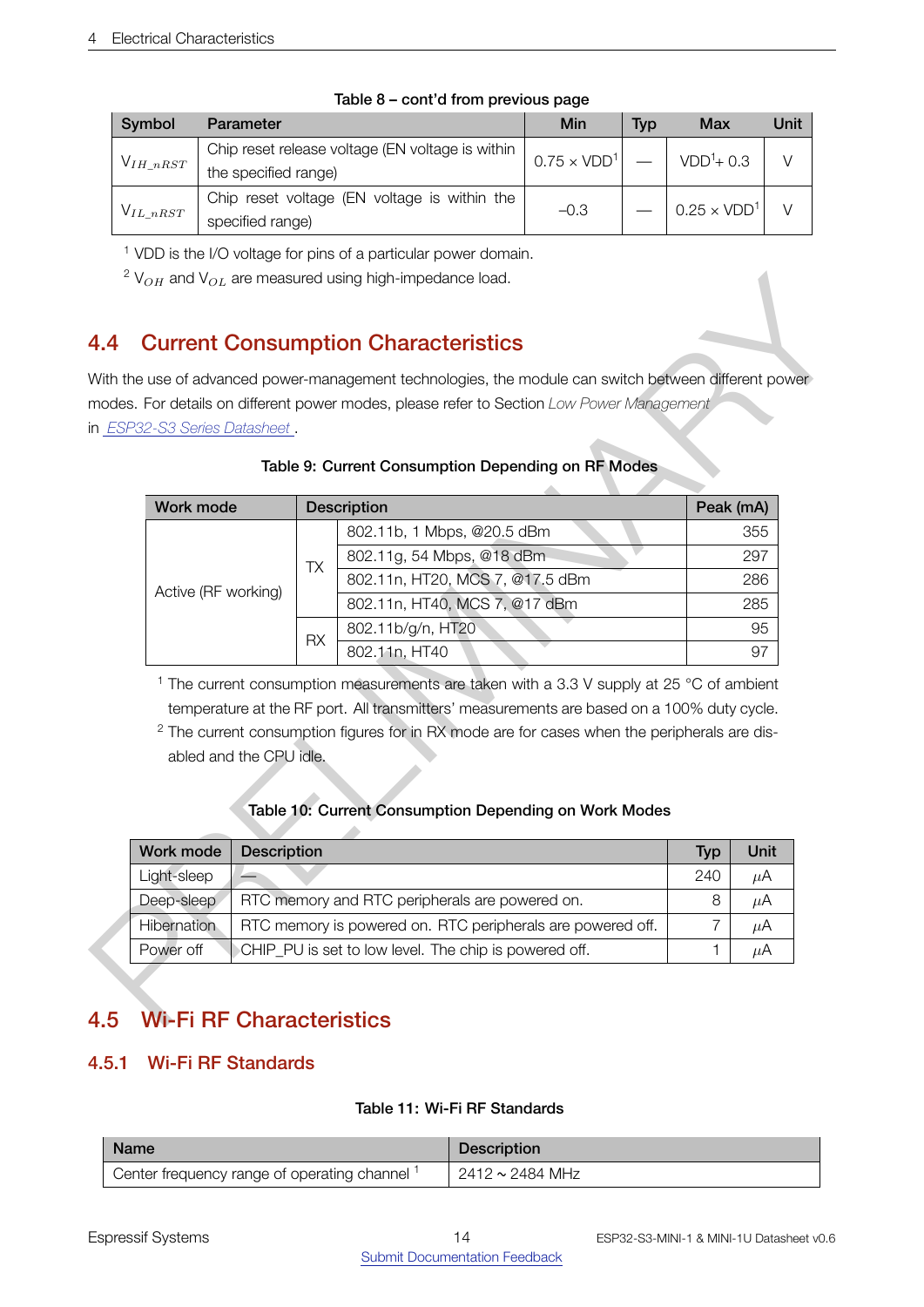| Symbol         | Parameter                                        | Min                | <b>Typ</b> | Max                | Unit |
|----------------|--------------------------------------------------|--------------------|------------|--------------------|------|
| $V_{IH\_nRST}$ | Chip reset release voltage (EN voltage is within | $0.75 \times VDD1$ |            | $VDD1+0.3$         |      |
|                | the specified range)                             |                    |            |                    |      |
| $V_{IL\_nRST}$ | Chip reset voltage (EN voltage is within the     | $-0.3$             |            | $0.25 \times VDD1$ |      |
|                | specified range)                                 |                    |            |                    |      |

#### Table 8 – cont'd from previous page

<sup>1</sup> VDD is the I/O voltage for pins of a particular power domain.

# <span id="page-13-3"></span><span id="page-13-0"></span>4.4 Current Consumption Characteristics

## Table 9: Current Consumption Depending on RF Modes

|                               |                    | <b>Current Consumption Characteristics</b>                                                                                                                                                                                                                                                                                                                            |                |             |
|-------------------------------|--------------------|-----------------------------------------------------------------------------------------------------------------------------------------------------------------------------------------------------------------------------------------------------------------------------------------------------------------------------------------------------------------------|----------------|-------------|
|                               |                    | With the use of advanced power-management technologies, the module can switch between different power                                                                                                                                                                                                                                                                 |                |             |
|                               |                    | modes. For details on different power modes, please refer to Section Low Power Management                                                                                                                                                                                                                                                                             |                |             |
| in ESP32-S3 Series Datasheet. |                    |                                                                                                                                                                                                                                                                                                                                                                       |                |             |
|                               |                    | Table 9: Current Consumption Depending on RF Modes                                                                                                                                                                                                                                                                                                                    |                |             |
|                               |                    |                                                                                                                                                                                                                                                                                                                                                                       |                |             |
| Work mode                     |                    | <b>Description</b>                                                                                                                                                                                                                                                                                                                                                    | Peak (mA)      |             |
|                               |                    | 802.11b, 1 Mbps, @20.5 dBm                                                                                                                                                                                                                                                                                                                                            |                | 355         |
|                               | <b>TX</b>          | 802.11g, 54 Mbps, @18 dBm                                                                                                                                                                                                                                                                                                                                             |                | 297         |
| Active (RF working)           |                    | 802.11n, HT20, MCS 7, @17.5 dBm                                                                                                                                                                                                                                                                                                                                       |                | 286         |
| <b>RX</b>                     |                    | 802.11n, HT40, MCS 7, @17 dBm                                                                                                                                                                                                                                                                                                                                         |                | 285         |
|                               |                    | 802.11b/g/n, HT20                                                                                                                                                                                                                                                                                                                                                     |                | 95          |
|                               |                    | 802.11n, HT40                                                                                                                                                                                                                                                                                                                                                         |                | 97          |
| abled and the CPU idle.       |                    | <sup>1</sup> The current consumption measurements are taken with a 3.3 V supply at 25 °C of ambient<br>temperature at the RF port. All transmitters' measurements are based on a 100% duty cycle.<br><sup>2</sup> The current consumption figures for in RX mode are for cases when the peripherals are dis-<br>Table 10: Current Consumption Depending on Work Modes |                |             |
|                               | <b>Description</b> |                                                                                                                                                                                                                                                                                                                                                                       | <b>Typ</b>     | <b>Unit</b> |
|                               |                    |                                                                                                                                                                                                                                                                                                                                                                       | 240            | $\mu$ A     |
| Work mode<br>Light-sleep      |                    | RTC memory and RTC peripherals are powered on.                                                                                                                                                                                                                                                                                                                        | 8              | $\mu$ A     |
| Deep-sleep                    |                    |                                                                                                                                                                                                                                                                                                                                                                       |                |             |
| Hibernation                   |                    | RTC memory is powered on. RTC peripherals are powered off.                                                                                                                                                                                                                                                                                                            | $\overline{7}$ | $\mu$ A     |

# Table 10: Current Consumption Depending on Work Modes

<span id="page-13-4"></span>

| Work mode   | <b>Description</b>                                         | Typ | Unit |
|-------------|------------------------------------------------------------|-----|------|
| Light-sleep |                                                            | 240 | μA   |
| Deep-sleep  | RTC memory and RTC peripherals are powered on.             | 8   | μA   |
| Hibernation | RTC memory is powered on. RTC peripherals are powered off. |     | μA   |
| Power off   | CHIP PU is set to low level. The chip is powered off.      |     | uА   |

# <span id="page-13-1"></span>4.5 Wi-Fi RF Characteristics

# <span id="page-13-5"></span><span id="page-13-2"></span>4.5.1 Wi-Fi RF Standards

# Table 11: Wi-Fi RF Standards

| <b>Name</b>                                 | <b>Description</b> |
|---------------------------------------------|--------------------|
| Center frequency range of operating channel | 2412 ~ 2484 MHz    |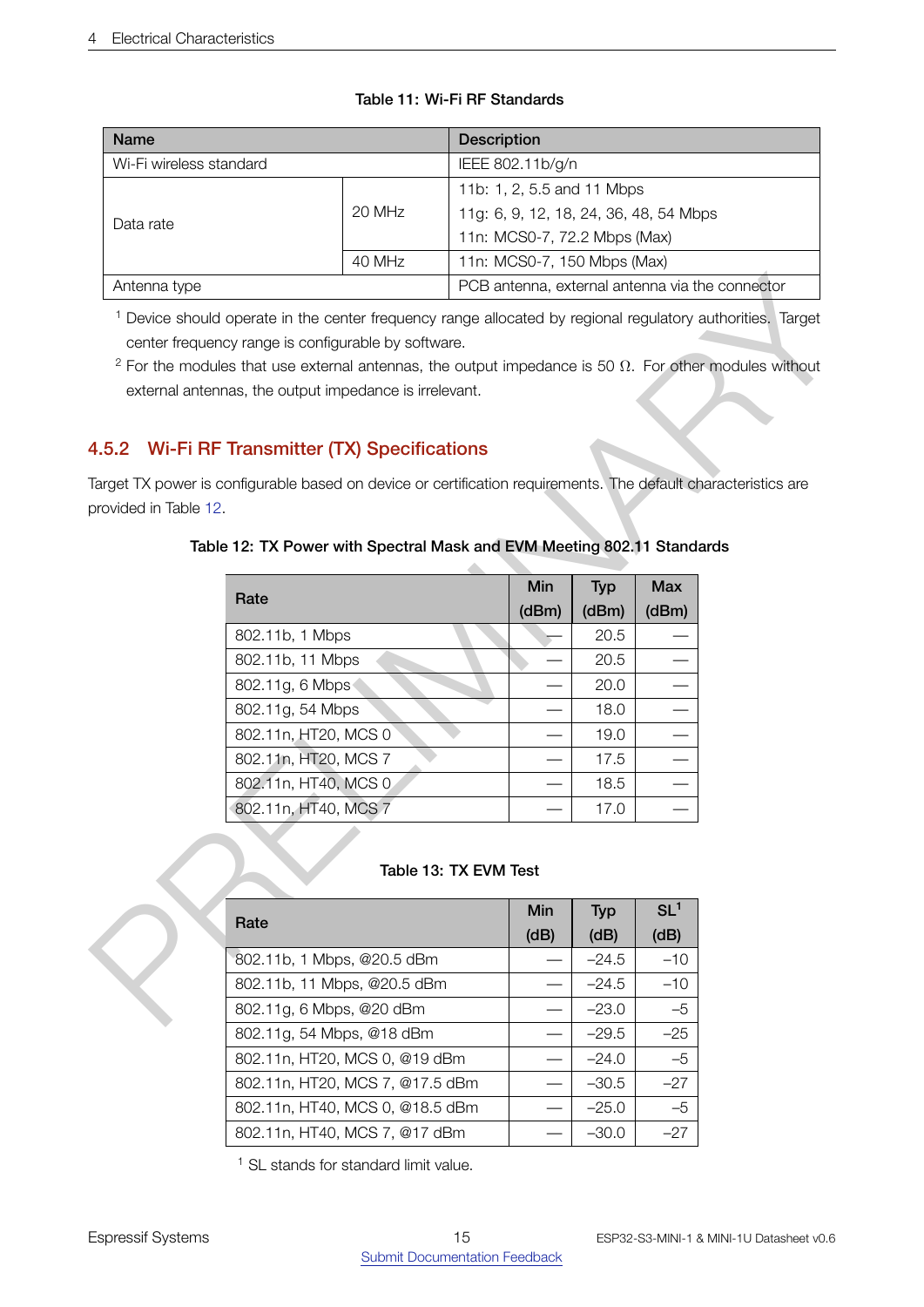| <b>Name</b>             |        | <b>Description</b>                              |  |  |  |  |
|-------------------------|--------|-------------------------------------------------|--|--|--|--|
| Wi-Fi wireless standard |        | IEEE 802.11b/g/n                                |  |  |  |  |
|                         |        | 11b: 1, 2, 5.5 and 11 Mbps                      |  |  |  |  |
| Data rate               | 20 MHz | 11g: 6, 9, 12, 18, 24, 36, 48, 54 Mbps          |  |  |  |  |
|                         |        | 11n: MCS0-7, 72.2 Mbps (Max)                    |  |  |  |  |
|                         | 40 MHz | 11n: MCS0-7, 150 Mbps (Max)                     |  |  |  |  |
| Antenna type            |        | PCB antenna, external antenna via the connector |  |  |  |  |

# Table 11: Wi-Fi RF Standards

# <span id="page-14-2"></span><span id="page-14-0"></span>4.5.2 Wi-Fi RF Transmitter (TX) Specifications

# Table 12: TX Power with Spectral Mask and EVM Meeting 802.11 Standards

|                       | PCB antenna, external antenna via the connector<br>Antenna type                                                                                                                                                                                                                                                                                           |  |             |                    |                         |  |  |  |  |  |
|-----------------------|-----------------------------------------------------------------------------------------------------------------------------------------------------------------------------------------------------------------------------------------------------------------------------------------------------------------------------------------------------------|--|-------------|--------------------|-------------------------|--|--|--|--|--|
|                       | <sup>1</sup> Device should operate in the center frequency range allocated by regional regulatory authorities. Target<br>center frequency range is configurable by software.<br>$2$ For the modules that use external antennas, the output impedance is 50 $\Omega$ . For other modules without<br>external antennas, the output impedance is irrelevant. |  |             |                    |                         |  |  |  |  |  |
|                       | Wi-Fi RF Transmitter (TX) Specifications<br>4.5.2<br>Target TX power is configurable based on device or certification requirements. The default characteristics are                                                                                                                                                                                       |  |             |                    |                         |  |  |  |  |  |
|                       | provided in Table 12.                                                                                                                                                                                                                                                                                                                                     |  |             |                    |                         |  |  |  |  |  |
|                       | Table 12: TX Power with Spectral Mask and EVM Meeting 802.11 Standards                                                                                                                                                                                                                                                                                    |  |             |                    |                         |  |  |  |  |  |
|                       | Rate                                                                                                                                                                                                                                                                                                                                                      |  | Min         | <b>Typ</b>         | <b>Max</b>              |  |  |  |  |  |
|                       |                                                                                                                                                                                                                                                                                                                                                           |  | (dBm)       | (dBm)              | (dBm)                   |  |  |  |  |  |
|                       | 802.11b, 1 Mbps                                                                                                                                                                                                                                                                                                                                           |  |             | 20.5               |                         |  |  |  |  |  |
|                       | 802.11b, 11 Mbps                                                                                                                                                                                                                                                                                                                                          |  |             | 20.5               |                         |  |  |  |  |  |
|                       | 802.11g, 6 Mbps                                                                                                                                                                                                                                                                                                                                           |  |             | 20.0               |                         |  |  |  |  |  |
|                       | 802.11g, 54 Mbps                                                                                                                                                                                                                                                                                                                                          |  |             | 18.0               |                         |  |  |  |  |  |
|                       | 802.11n, HT20, MCS 0                                                                                                                                                                                                                                                                                                                                      |  |             | 19.0               |                         |  |  |  |  |  |
|                       | 802.11n, HT20, MCS 7                                                                                                                                                                                                                                                                                                                                      |  |             | 17.5               |                         |  |  |  |  |  |
|                       | 802.11n, HT40, MCS 0                                                                                                                                                                                                                                                                                                                                      |  |             | 18.5               |                         |  |  |  |  |  |
|                       | 802.11n, HT40, MCS 7                                                                                                                                                                                                                                                                                                                                      |  |             | 17.0               |                         |  |  |  |  |  |
| Table 13: TX EVM Test |                                                                                                                                                                                                                                                                                                                                                           |  |             |                    |                         |  |  |  |  |  |
|                       | Rate                                                                                                                                                                                                                                                                                                                                                      |  | Min<br>(dB) | <b>Typ</b><br>(dB) | SL <sup>1</sup><br>(dB) |  |  |  |  |  |
|                       | 802.11b, 1 Mbps, @20.5 dBm                                                                                                                                                                                                                                                                                                                                |  |             | $-24.5$            | $-10$                   |  |  |  |  |  |
|                       | 802.11b, 11 Mbps, @20.5 dBm                                                                                                                                                                                                                                                                                                                               |  |             | $-24.5$            | $-10$                   |  |  |  |  |  |
|                       | 802.11g, 6 Mbps, @20 dBm                                                                                                                                                                                                                                                                                                                                  |  |             | $-23.0$            | $-5$                    |  |  |  |  |  |
|                       |                                                                                                                                                                                                                                                                                                                                                           |  |             |                    |                         |  |  |  |  |  |

#### Table 13: TX EVM Test

<span id="page-14-3"></span>

| Rate                            | Min  | <b>Typ</b> | SL <sup>1</sup> |
|---------------------------------|------|------------|-----------------|
|                                 | (dB) | (dB)       | (dB)            |
| 802.11b, 1 Mbps, @20.5 dBm      |      | $-24.5$    | $-10$           |
| 802.11b, 11 Mbps, @20.5 dBm     |      | $-24.5$    | $-10$           |
| 802.11g, 6 Mbps, @20 dBm        |      | $-23.0$    | $-5$            |
| 802.11g, 54 Mbps, @18 dBm       |      | $-29.5$    | $-25$           |
| 802.11n, HT20, MCS 0, @19 dBm   |      | $-24.0$    | $-5$            |
| 802.11n, HT20, MCS 7, @17.5 dBm |      | $-30.5$    | $-27$           |
| 802.11n, HT40, MCS 0, @18.5 dBm |      | $-25.0$    | $-5$            |
| 802.11n, HT40, MCS 7, @17 dBm   |      | $-30.0$    | -27             |

<span id="page-14-1"></span><sup>1</sup> SL stands for standard limit value.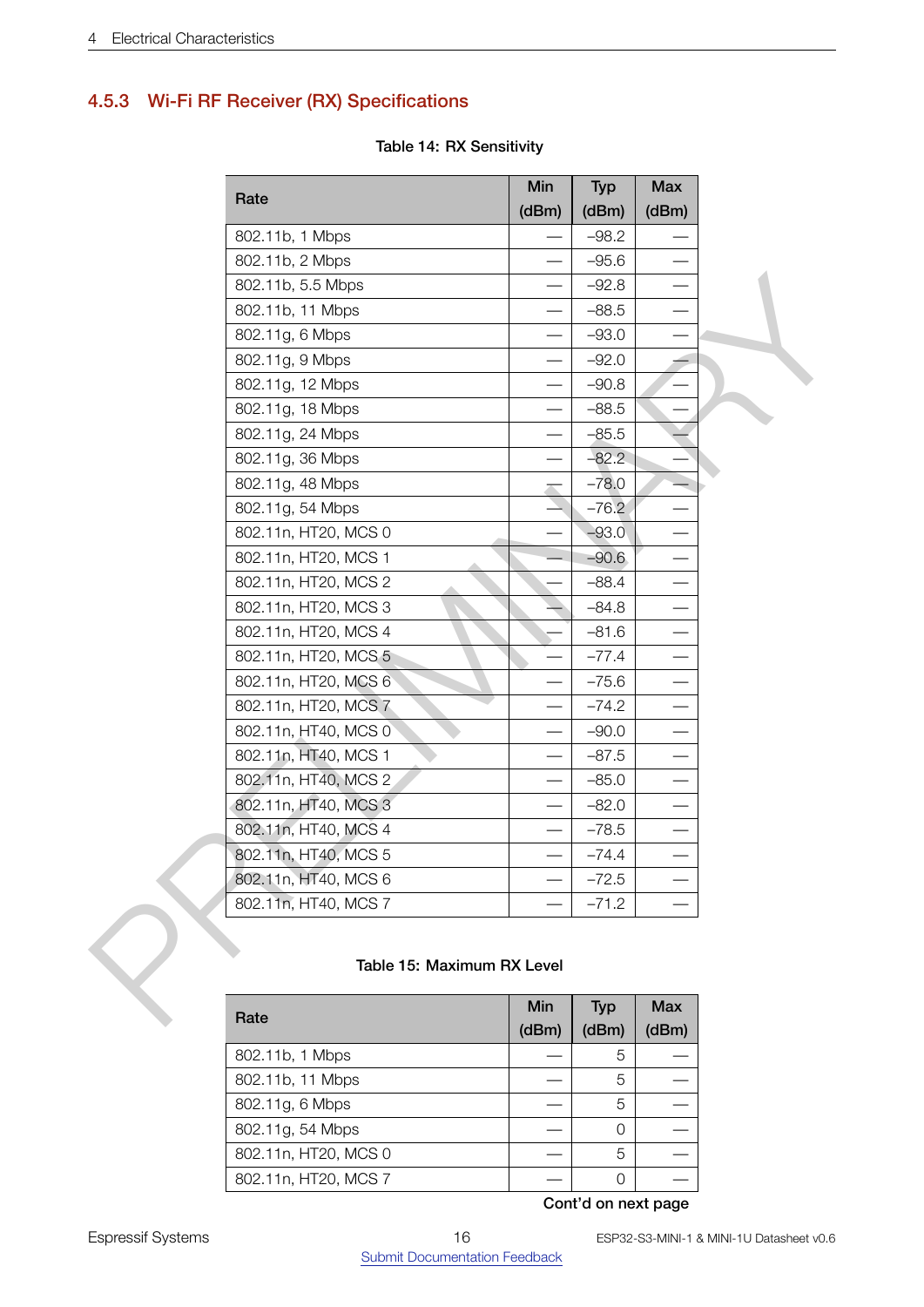# <span id="page-15-0"></span>4.5.3 Wi-Fi RF Receiver (RX) Specifications

| Rate                       | Min                      | <b>Typ</b> | <b>Max</b>                      |
|----------------------------|--------------------------|------------|---------------------------------|
|                            | (dBm)                    | (dBm)      | (dBm)                           |
| 802.11b, 1 Mbps            |                          | $-98.2$    |                                 |
| 802.11b, 2 Mbps            |                          | $-95.6$    |                                 |
| 802.11b, 5.5 Mbps          | $\overline{\phantom{0}}$ | $-92.8$    |                                 |
| 802.11b, 11 Mbps           |                          | $-88.5$    |                                 |
| 802.11g, 6 Mbps            |                          | $-93.0$    |                                 |
| 802.11g, 9 Mbps            | $\overline{\phantom{0}}$ | $-92.0$    |                                 |
| 802.11g, 12 Mbps           | —                        | $-90.8$    |                                 |
| 802.11g, 18 Mbps           |                          | $-88.5$    |                                 |
| 802.11g, 24 Mbps           | $\overline{\phantom{0}}$ | $-85.5$    |                                 |
| 802.11g, 36 Mbps           |                          | $-82.2$    |                                 |
| 802.11g, 48 Mbps           | $\overline{\phantom{a}}$ | $-78.0$    | ÷                               |
| 802.11g, 54 Mbps           |                          | $-76.2$    |                                 |
| 802.11n, HT20, MCS 0       |                          | $-93.0$    |                                 |
| 802.11n, HT20, MCS 1       |                          | $-90.6$    |                                 |
| 802.11n, HT20, MCS 2       |                          | $-88.4$    |                                 |
| 802.11n, HT20, MCS 3       |                          | $-84.8$    | $\hspace{0.1mm}-\hspace{0.1mm}$ |
| 802.11n, HT20, MCS 4       |                          | $-81.6$    |                                 |
| 802.11n, HT20, MCS 5       |                          | $-77.4$    |                                 |
| 802.11n, HT20, MCS 6       | —                        | $-75.6$    |                                 |
| 802.11n, HT20, MCS 7       |                          | $-74.2$    |                                 |
| 802.11n, HT40, MCS 0       |                          | $-90.0$    |                                 |
| 802.11n, HT40, MCS 1       | $\overline{\phantom{0}}$ | $-87.5$    |                                 |
| 802.11n, HT40, MCS 2       |                          | $-85.0$    |                                 |
| 802.11n, HT40, MCS 3       | $\overline{\phantom{0}}$ | $-82.0$    | $\hspace{0.1mm}-\hspace{0.1mm}$ |
| 802.11n, HT40, MCS 4       | $\overline{\phantom{0}}$ | $-78.5$    | $\qquad \qquad \longleftarrow$  |
| 802.11n, HT40, MCS 5       |                          | $-74.4$    |                                 |
| 802.11n, HT40, MCS 6       |                          | $-72.5$    |                                 |
| 802.11n, HT40, MCS 7       |                          | $-71.2$    |                                 |
| Table 15: Maximum RX Level |                          |            |                                 |
| Rate                       | Min                      | <b>Typ</b> | <b>Max</b>                      |
|                            |                          |            |                                 |

## Table 14: RX Sensitivity

#### Table 15: Maximum RX Level

<span id="page-15-1"></span>

| Rate                 | Min   | <b>Typ</b> | <b>Max</b> |  |  |  |  |
|----------------------|-------|------------|------------|--|--|--|--|
|                      | (dBm) | (dBm)      | (dBm)      |  |  |  |  |
| 802.11b, 1 Mbps      |       | 5          |            |  |  |  |  |
| 802.11b, 11 Mbps     |       | 5          |            |  |  |  |  |
| 802.11g, 6 Mbps      |       | 5          |            |  |  |  |  |
| 802.11g, 54 Mbps     |       | Ω          |            |  |  |  |  |
| 802.11n, HT20, MCS 0 |       | 5          |            |  |  |  |  |
| 802.11n, HT20, MCS 7 |       | Ω          |            |  |  |  |  |
| Cont'd on next page  |       |            |            |  |  |  |  |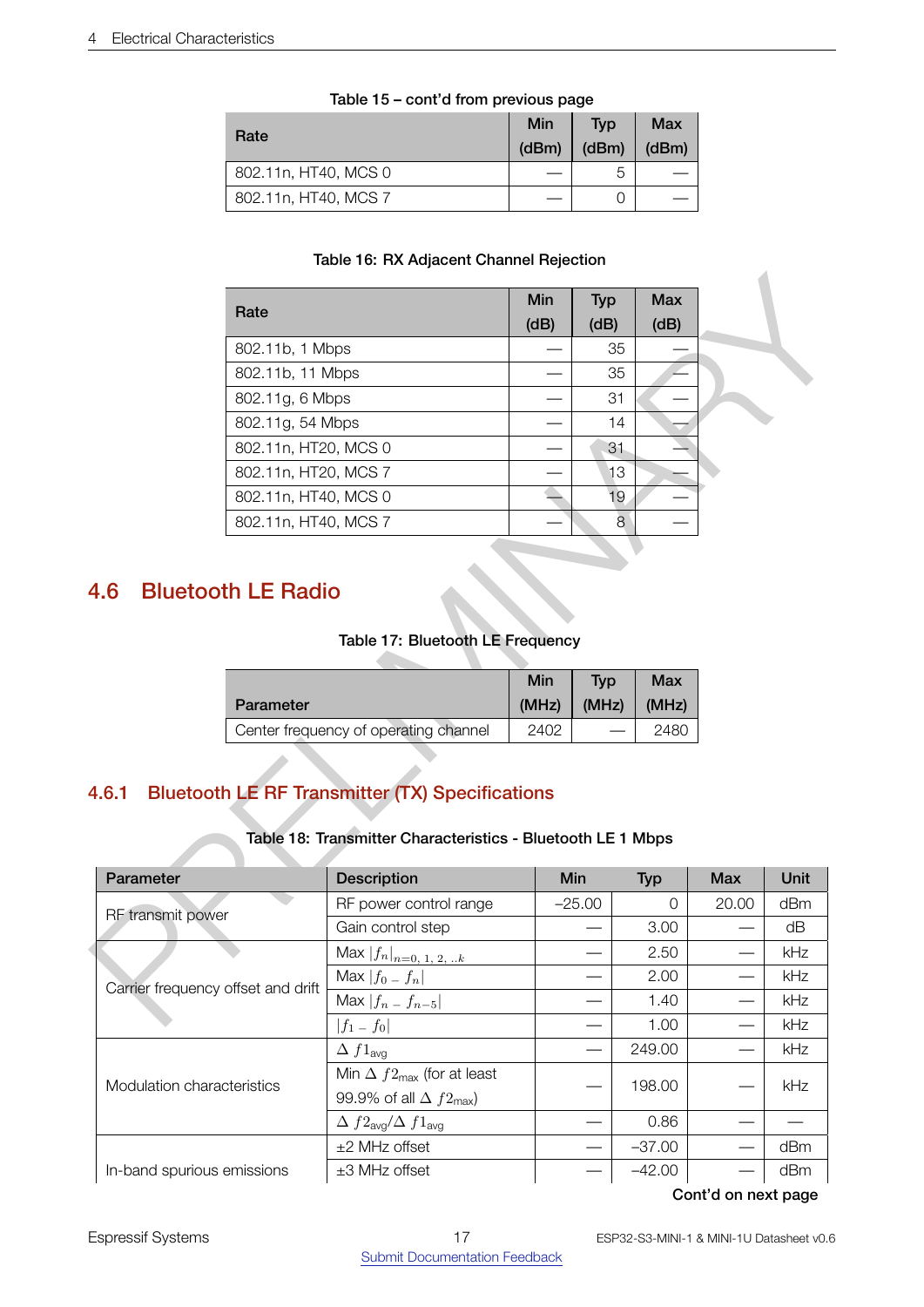| Rate                 | Min<br>(dBm) | Typ<br>(dBm) | Max<br>(dBm) |
|----------------------|--------------|--------------|--------------|
| 802.11n, HT40, MCS 0 |              | 5            |              |
| 802.11n, HT40, MCS 7 |              |              |              |

#### Table 15 – cont'd from previous page

## Table 16: RX Adjacent Channel Rejection

| Rate                 | Min<br>(dB) | <b>Typ</b><br>(dB) | Max<br>(dB) |
|----------------------|-------------|--------------------|-------------|
| 802.11b, 1 Mbps      |             | 35                 |             |
| 802.11b, 11 Mbps     |             | 35                 |             |
| 802.11g, 6 Mbps      |             | 31                 |             |
| 802.11g, 54 Mbps     |             | 14                 |             |
| 802.11n, HT20, MCS 0 |             | 31                 |             |
| 802.11n, HT20, MCS 7 |             | 13                 |             |
| 802.11n, HT40, MCS 0 |             | 19                 |             |
| 802.11n, HT40, MCS 7 |             | 8                  |             |

# <span id="page-16-3"></span><span id="page-16-0"></span>4.6 Bluetooth LE Radio

## Table 17: Bluetooth LE Frequency

| Parameter                             | Min   | <b>Tvp</b> | <b>Max</b> |
|---------------------------------------|-------|------------|------------|
|                                       | (MHz) | (MHz)      | (MHz)      |
| Center frequency of operating channel | 2402  |            | 2480       |

# <span id="page-16-4"></span><span id="page-16-1"></span>4.6.1 Bluetooth LE RF Transmitter (TX) Specifications

## Table 18: Transmitter Characteristics - Bluetooth LE 1 Mbps

<span id="page-16-2"></span>

|                                                                                                    | Rate                                         |                                                                                                                       | Min<br>(dB)   | <b>Typ</b><br>(dB) | <b>Max</b><br>(dB) |            |      |
|----------------------------------------------------------------------------------------------------|----------------------------------------------|-----------------------------------------------------------------------------------------------------------------------|---------------|--------------------|--------------------|------------|------|
|                                                                                                    | 802.11b, 1 Mbps                              |                                                                                                                       |               | 35                 |                    |            |      |
|                                                                                                    | 802.11b, 11 Mbps                             |                                                                                                                       |               | 35                 |                    |            |      |
|                                                                                                    | 802.11g, 6 Mbps                              |                                                                                                                       |               | 31                 |                    |            |      |
|                                                                                                    | 802.11g, 54 Mbps                             |                                                                                                                       |               | 14                 |                    |            |      |
|                                                                                                    | 802.11n, HT20, MCS 0                         |                                                                                                                       |               | 31                 |                    |            |      |
|                                                                                                    | 802.11n, HT20, MCS 7                         |                                                                                                                       |               | 13                 |                    |            |      |
|                                                                                                    | 802.11n, HT40, MCS 0<br>802.11n, HT40, MCS 7 |                                                                                                                       |               | 19                 | 8                  |            |      |
| <b>Bluetooth LE Radio</b>                                                                          |                                              |                                                                                                                       |               |                    |                    |            |      |
|                                                                                                    |                                              | Table 17: Bluetooth LE Frequency                                                                                      |               |                    |                    |            |      |
|                                                                                                    |                                              |                                                                                                                       | Min           | <b>Typ</b>         | <b>Max</b>         |            |      |
|                                                                                                    |                                              |                                                                                                                       |               |                    |                    |            |      |
|                                                                                                    | Parameter                                    | Center frequency of operating channel                                                                                 | (MHz)<br>2402 | (MHz)              | (MHz)<br>2480      |            |      |
| 4.6.1                                                                                              |                                              | <b>Bluetooth LE RF Transmitter (TX) Specifications</b><br>Table 18: Transmitter Characteristics - Bluetooth LE 1 Mbps |               |                    |                    |            |      |
|                                                                                                    |                                              | Description                                                                                                           |               | Min                | <b>Typ</b>         | <b>Max</b> | Unit |
|                                                                                                    |                                              | RF power control range                                                                                                |               | $-25.00$           | $\mathbf 0$        | 20.00      | dBm  |
|                                                                                                    |                                              | Gain control step                                                                                                     |               |                    | 3.00               |            | dB   |
|                                                                                                    |                                              |                                                                                                                       |               |                    | 2.50               |            | kHz  |
|                                                                                                    |                                              | Max $ f_n _{\underline{n=0, 1, 2,  k}}$<br>Max $ f_0-f_n $                                                            |               |                    | 2.00               |            | kHz  |
|                                                                                                    |                                              | Max $ f_n - f_{n-5} $                                                                                                 |               |                    | 1.40               |            | kHz  |
|                                                                                                    |                                              | $ f_1-f_0 $                                                                                                           |               |                    | 1.00               |            | kHz  |
|                                                                                                    |                                              | $\Delta f1_{avg}$                                                                                                     |               |                    | 249.00             |            | kHz  |
|                                                                                                    |                                              | Min $\Delta f2_{\text{max}}$ (for at least<br>99.9% of all $\Delta f2_{\text{max}}$ )                                 |               |                    | 198.00             |            | kHz  |
| Parameter<br>RF transmit power<br>Carrier frequency offset and drift<br>Modulation characteristics |                                              | $\Delta f2_{\text{avg}}/\Delta f1_{\text{avg}}$                                                                       |               |                    | 0.86               |            |      |
|                                                                                                    |                                              | $±2$ MHz offset                                                                                                       |               |                    | $-37.00$           |            | dBm  |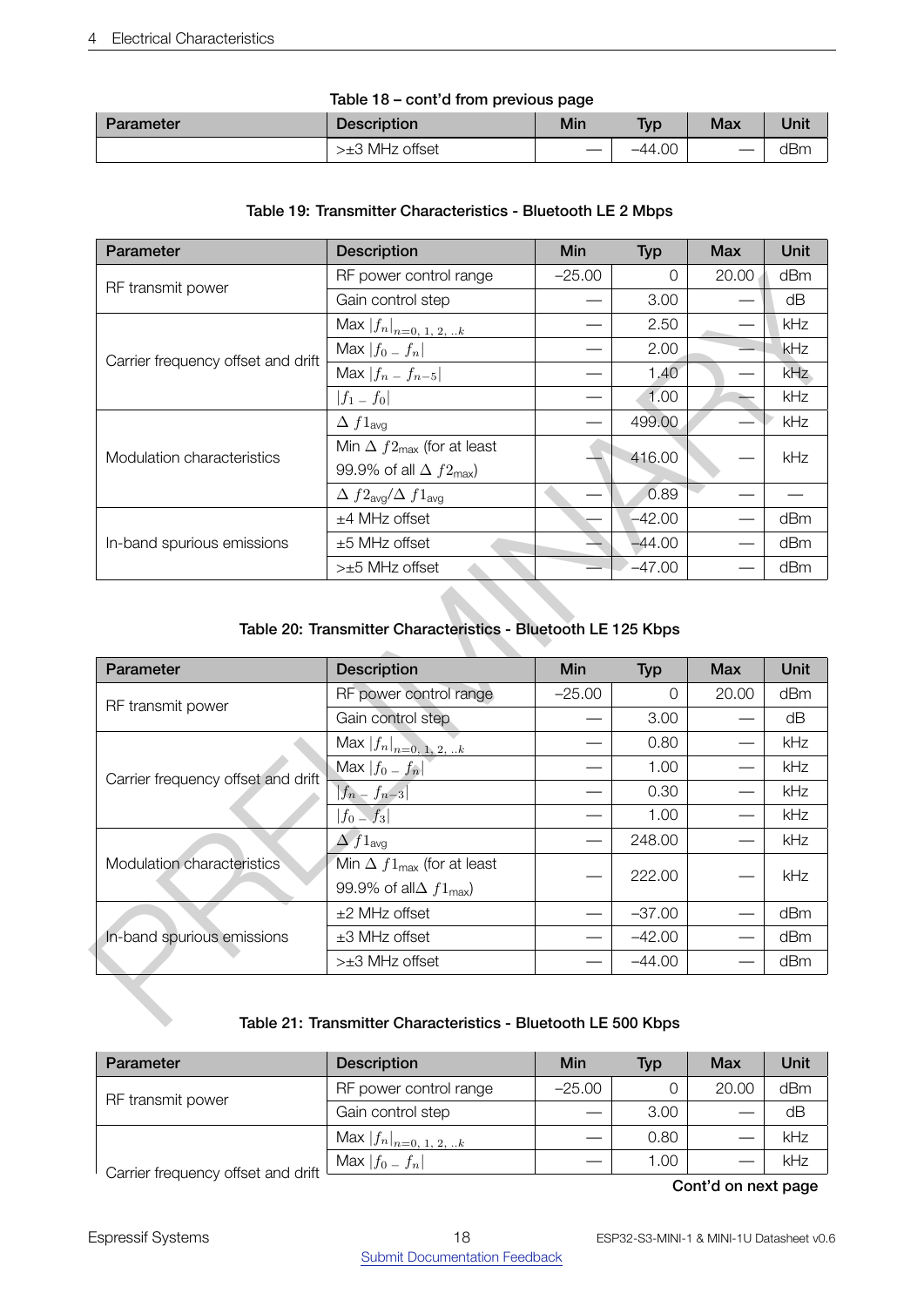#### 4 Electrical Characteristics

| lable 18 – cont'd from previous page |                    |     |            |     |      |  |  |
|--------------------------------------|--------------------|-----|------------|-----|------|--|--|
| Parameter                            | <b>Description</b> | Min | <b>Typ</b> | Max | Unit |  |  |
|                                      | $>±3$ MHz offset   |     | $-44.00$   |     | dBm  |  |  |

#### Table 18 – cont'd from previous page

#### Table 19: Transmitter Characteristics - Bluetooth LE 2 Mbps

<span id="page-17-0"></span>

| Parameter                          | <b>Description</b>                              | Min      | <b>Typ</b> | <b>Max</b> | Unit       |
|------------------------------------|-------------------------------------------------|----------|------------|------------|------------|
| RF transmit power                  | RF power control range                          | $-25.00$ | $\Omega$   | 20.00      | dBm        |
|                                    | Gain control step                               |          | 3.00       |            | dΒ         |
|                                    | Max $ f_n _{n=0, 1, 2, k}$                      |          | 2.50       |            | kHz        |
| Carrier frequency offset and drift | Max $ f_0-f_n $                                 |          | 2.00       |            | <b>kHz</b> |
|                                    | Max $ f_n - f_{n-5} $                           |          | 1.40       |            | kHz        |
|                                    | $ f_1 - f_0 $                                   |          | 1.00       |            | kHz        |
|                                    | $\Delta f1_{\text{avg}}$                        |          | 499.00     |            | kHz        |
| Modulation characteristics         | Min $\Delta f2_{\text{max}}$ (for at least      |          | 416.00     |            | kHz        |
|                                    | 99.9% of all $\Delta f2_{\text{max}}$ )         |          |            |            |            |
|                                    | $\Delta f2_{\text{avg}}/\Delta f1_{\text{avg}}$ |          | 0.89       |            |            |
|                                    | $±4$ MHz offset                                 |          | $-42.00$   |            | dBm        |
| In-band spurious emissions         | $±5$ MHz offset                                 |          | $-44.00$   |            | dBm        |
|                                    | $>±5$ MHz offset                                |          | $-47.00$   |            | dBm        |

## <span id="page-17-1"></span>Table 20: Transmitter Characteristics - Bluetooth LE 125 Kbps

|                                                                                                                                  | RF power control range                                                          | $-25.00$                   | 0              | 20.00      | dBm                      |
|----------------------------------------------------------------------------------------------------------------------------------|---------------------------------------------------------------------------------|----------------------------|----------------|------------|--------------------------|
| RF transmit power                                                                                                                | Gain control step                                                               |                            | 3.00           |            | dB                       |
|                                                                                                                                  | Max $ f_n _{n=0, 1, 2, k}$                                                      |                            | 2.50           |            | kHz                      |
| Carrier frequency offset and drift                                                                                               | Max $ f_0 - f_n $                                                               |                            | 2.00           |            | kHz                      |
|                                                                                                                                  | Max $ f_n - f_{n-5} $                                                           |                            | 1,40           |            | kHz                      |
|                                                                                                                                  | $ f_1-f_0 $                                                                     | e e                        | 1.00           |            | kHz                      |
|                                                                                                                                  | $\Delta f1_{\text{avg}}$                                                        |                            | 499.00         |            | kHz                      |
| Modulation characteristics                                                                                                       | Min $\Delta f2_{\text{max}}$ (for at least                                      |                            |                |            | kHz                      |
|                                                                                                                                  | 99.9% of all $\Delta f2_{\text{max}}$ )                                         |                            |                |            |                          |
|                                                                                                                                  | $\Delta f2_{\text{avg}}/\Delta f1_{\text{avg}}$                                 |                            | 0.89           |            | $\overline{\phantom{0}}$ |
|                                                                                                                                  | $±4$ MHz offset                                                                 |                            | $-42.00$       |            | dBm                      |
| In-band spurious emissions                                                                                                       | $±5$ MHz offset                                                                 |                            | $-44.00$       |            | dBm                      |
|                                                                                                                                  |                                                                                 |                            |                |            | dBm                      |
|                                                                                                                                  | >±5 MHz offset<br>Table 20: Transmitter Characteristics - Bluetooth LE 125 Kbps |                            |                |            |                          |
|                                                                                                                                  | <b>Description</b>                                                              | Min                        | <b>Typ</b>     | <b>Max</b> | Unit                     |
|                                                                                                                                  | RF power control range                                                          | $-25.00$                   | $\overline{0}$ | 20.00      | dBm                      |
|                                                                                                                                  | Gain control step                                                               | 416.00<br>$-47.00$<br>3.00 | dB             |            |                          |
|                                                                                                                                  | $\overline{\text{Max}}  f_n _{n=0, 1, 2, k}$                                    |                            | 0.80           |            | kHz                      |
|                                                                                                                                  | Max $ f_0 - f_n $                                                               |                            | 1.00           |            | kHz                      |
|                                                                                                                                  | $ f_n - f_{n-3} $                                                               |                            | 0.30           |            | kHz                      |
|                                                                                                                                  | $ f_0-f_3 $                                                                     |                            | 1.00           |            | kHz                      |
|                                                                                                                                  | $\Delta f1_{\text{avg}}$                                                        |                            | 248.00         |            | kHz                      |
|                                                                                                                                  | Min $\Delta f1_{\text{max}}$ (for at least                                      |                            |                |            |                          |
|                                                                                                                                  | 99.9% of all $\Delta f1_{\text{max}}$ )                                         |                            | 222.00         |            | kHz                      |
|                                                                                                                                  | $±2$ MHz offset                                                                 |                            | $-37.00$       |            | dBm                      |
| Parameter<br>RF transmit power<br>Carrier frequency offset and drift<br>Modulation characteristics<br>In-band spurious emissions | $±3$ MHz offset<br>>±3 MHz offset                                               |                            | $-42.00$       |            | dBm                      |

## Table 21: Transmitter Characteristics - Bluetooth LE 500 Kbps

<span id="page-17-2"></span>

| Parameter                            | <b>Description</b>                   | Min      | Typ  | Max   | Unit |
|--------------------------------------|--------------------------------------|----------|------|-------|------|
| RF transmit power                    | RF power control range               | $-25.00$ |      | 20.00 | dBm  |
|                                      | Gain control step                    |          | 3.00 |       | dB   |
|                                      | $  \text{Max }  f_n _{n=0, 1, 2, k}$ |          | 0.80 |       | kHz  |
| Carrier frequency offset and drift L | Max $ f_0-f_n $                      |          | 1.00 |       | kHz  |
|                                      |                                      |          |      | - - - |      |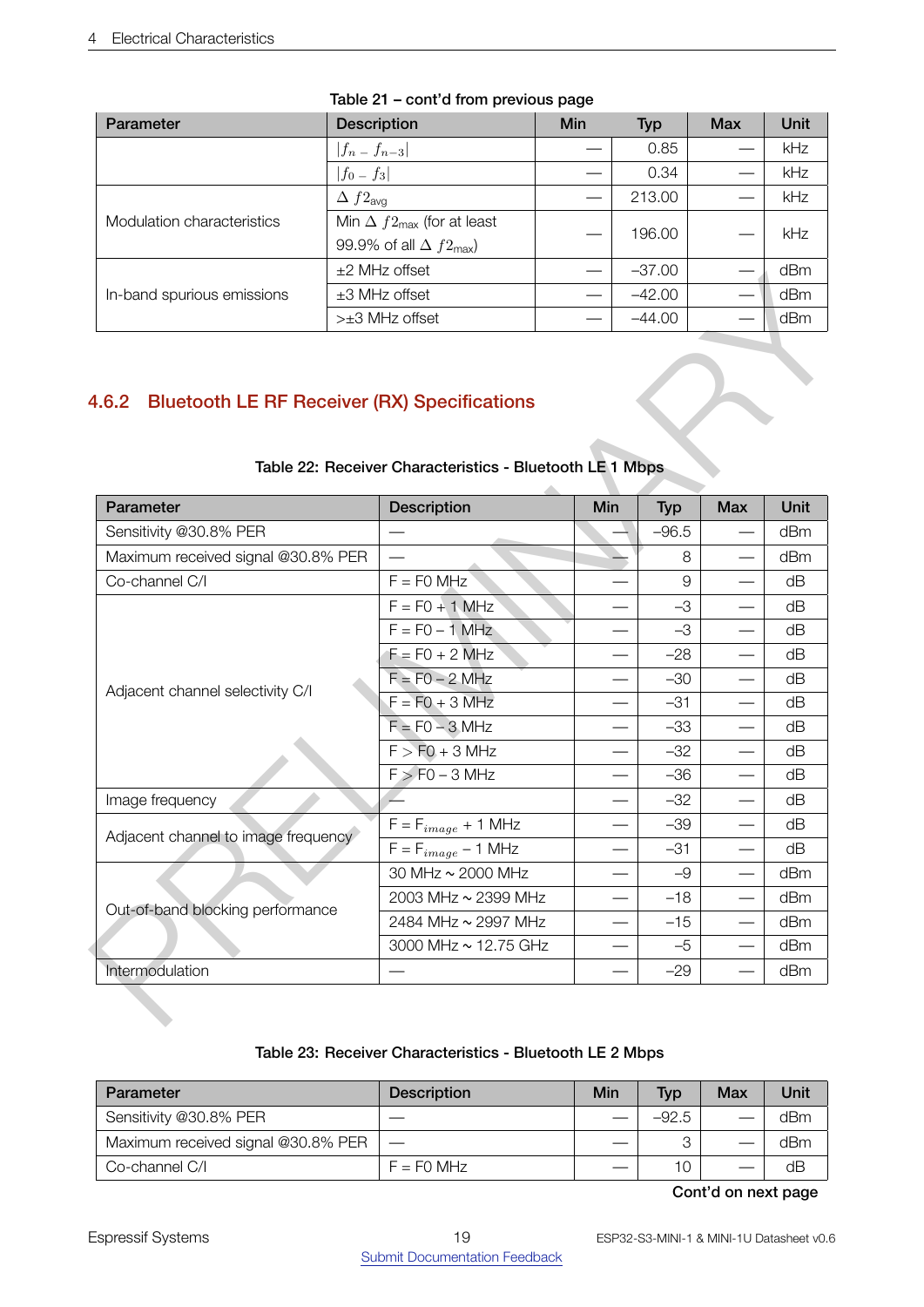| Parameter                  | <b>Description</b>                         | Min | <b>Typ</b> | <b>Max</b> | Unit |
|----------------------------|--------------------------------------------|-----|------------|------------|------|
|                            | $ f_n - f_{n-3} $                          |     | 0.85       |            | kHz  |
|                            | $ f_0 - f_3 $                              |     | 0.34       |            | kHz  |
|                            | $\Delta f2_{\text{avg}}$                   |     | 213.00     |            | kHz  |
| Modulation characteristics | Min $\Delta f2_{\text{max}}$ (for at least |     | 196.00     |            | kHz  |
|                            | 99.9% of all $\Delta f2_{\text{max}}$ )    |     |            |            |      |
| In-band spurious emissions | $±2$ MHz offset                            |     | $-37.00$   |            | dBm  |
|                            | $±3$ MHz offset                            |     | $-42.00$   |            | dBm  |
|                            | $>±3$ MHz offset                           |     | $-44.00$   |            | dBm  |

#### Table 21 – cont'd from previous page

# <span id="page-18-1"></span><span id="page-18-0"></span>4.6.2 Bluetooth LE RF Receiver (RX) Specifications

|                                     | <b>EL IVIMA OIISEL</b>                                                                                                           |     | -57.JU         |            | UDIII |
|-------------------------------------|----------------------------------------------------------------------------------------------------------------------------------|-----|----------------|------------|-------|
| In-band spurious emissions          | $\pm 3$ MHz offset                                                                                                               |     | $-42.00$       |            | dBm   |
|                                     | >±3 MHz offset<br>4.6.2 Bluetooth LE RF Receiver (RX) Specifications<br>Table 22: Receiver Characteristics - Bluetooth LE 1 Mbps |     | $-44.00$       |            | dBm   |
| Parameter                           | <b>Description</b>                                                                                                               | Min | <b>Typ</b>     | <b>Max</b> | Unit  |
| Sensitivity @30.8% PER              |                                                                                                                                  |     | $-96.5$        |            | dBm   |
| Maximum received signal @30.8% PER  |                                                                                                                                  |     | 8              |            | dBm   |
| Co-channel C/I                      | $F = FO$ MHz                                                                                                                     |     | $\overline{9}$ |            | dB    |
|                                     | $F = F0 + 1 MHz$                                                                                                                 |     | $-3$           |            | dB    |
|                                     | $F = FO - 1 MHz$                                                                                                                 |     | $-3$           |            | dB    |
|                                     | $F = F0 + 2$ MHz                                                                                                                 |     | $-28$          |            | dB    |
| Adjacent channel selectivity C/I    | $F = F0 - 2 MHz$                                                                                                                 |     | $-30$          |            | dB    |
|                                     | $F = F0 + 3 MHz$                                                                                                                 |     | $-31$          |            | dB    |
|                                     | $F = F0 - 3 MHz$                                                                                                                 |     | $-33$          |            | dB    |
|                                     | $F > F0 + 3 MHz$                                                                                                                 |     | $-32$          |            | dB    |
|                                     | $F > F0 - 3 MHz$                                                                                                                 |     | $-36$          |            | dB    |
| Image frequency                     |                                                                                                                                  |     | $-32$          |            | dB    |
| Adjacent channel to image frequency | $F = F_{image} + 1$ MHz                                                                                                          |     | $-39$          |            | dB    |
|                                     | $F = F_{image} - 1$ MHz                                                                                                          |     | $-31$          |            | dB    |
|                                     | 30 MHz ~ 2000 MHz                                                                                                                |     | $-9$           |            | dBm   |
| Out-of-band blocking performance    | 2003 MHz ~ 2399 MHz                                                                                                              |     | $-18$          |            | dBm   |
|                                     | 2484 MHz ~ 2997 MHz                                                                                                              |     | $-15$          |            | dBm   |
|                                     | 3000 MHz ~ 12.75 GHz                                                                                                             |     | $-5$           |            | dBm   |
|                                     |                                                                                                                                  |     | $-29$          |            | dBm   |

# Table 22: Receiver Characteristics - Bluetooth LE 1 Mbps

## Table 23: Receiver Characteristics - Bluetooth LE 2 Mbps

<span id="page-18-2"></span>

| Parameter                          | <b>Description</b> | Min | <b>Typ</b> | Max | Unit |
|------------------------------------|--------------------|-----|------------|-----|------|
| Sensitivity @30.8% PER             |                    |     | $-92.5$    |     | dBm  |
| Maximum received signal @30.8% PER |                    |     |            |     | dBm  |
| Co-channel C/I                     | $F = F0$ MHz       |     | 10         |     | dB   |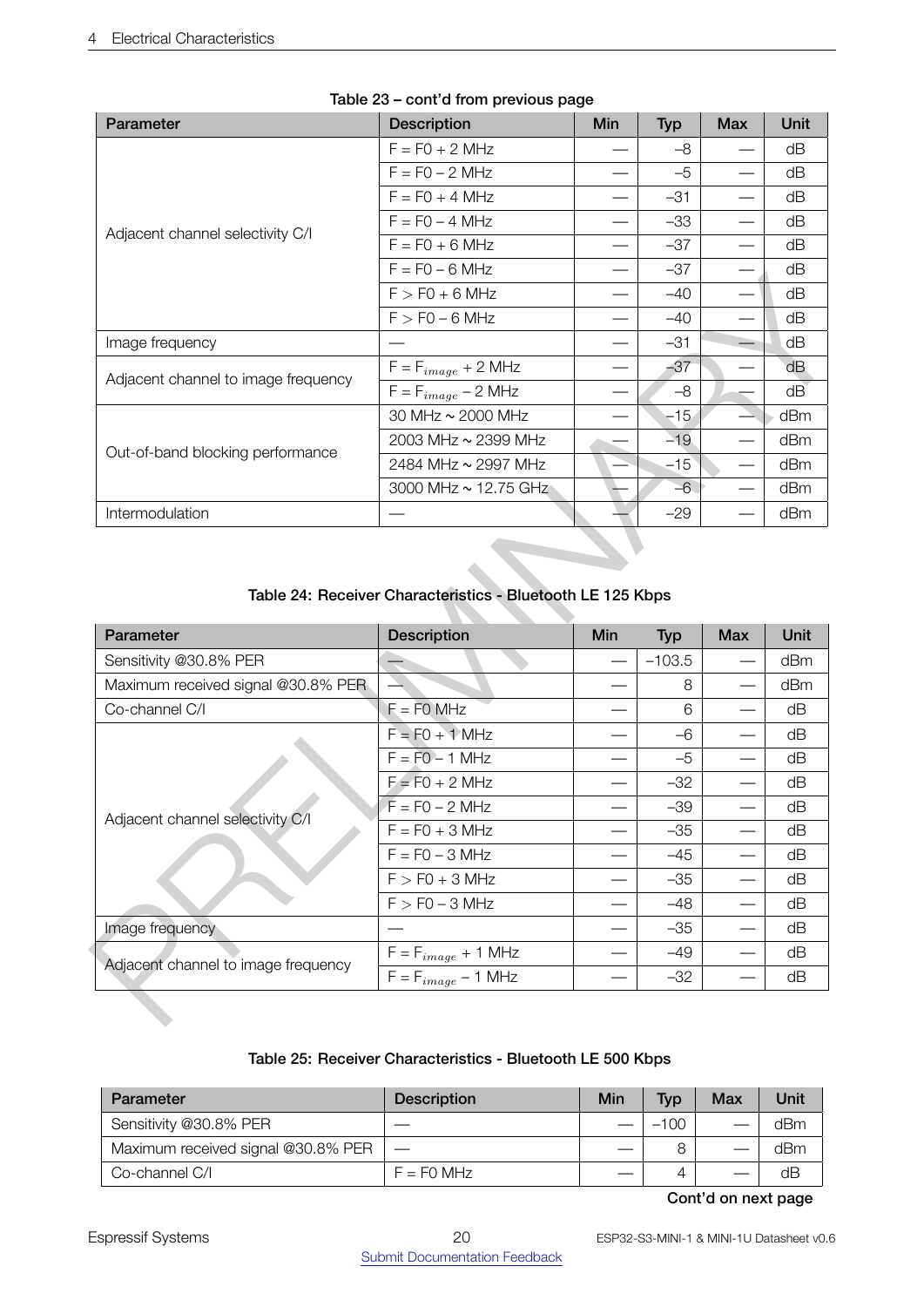| Parameter                           | <b>Description</b>      | Min | <b>Typ</b> | <b>Max</b> | Unit |
|-------------------------------------|-------------------------|-----|------------|------------|------|
|                                     | $F = F0 + 2 MHz$        |     | -8         |            | dΒ   |
|                                     | $F = F0 - 2 MHz$        |     | $-5$       |            | dВ   |
|                                     | $F = F0 + 4 MHz$        |     | $-31$      |            | dΒ   |
| Adjacent channel selectivity C/I    | $F = F0 - 4 MHz$        |     | $-33$      |            | dB   |
|                                     | $F = F0 + 6 MHz$        |     | $-37$      |            | dB   |
|                                     | $F = F0 - 6 MHz$        |     | $-37$      |            | dB   |
|                                     | $F > F0 + 6 MHz$        |     | $-40$      |            | dΒ   |
|                                     | $F > F0 - 6$ MHz        |     | $-40$      |            | dB   |
| Image frequency                     |                         |     | $-31$      |            | dB   |
| Adjacent channel to image frequency | $F = F_{image} + 2 MHz$ |     | $-37$      |            | dB   |
|                                     | $F = F_{image} - 2 MHz$ |     | $-8$       |            | dB   |
|                                     | 30 MHz ~ 2000 MHz       |     | $-15$      |            | dBm  |
|                                     | 2003 MHz ~ 2399 MHz     |     | $-19$      |            | dBm  |
| Out-of-band blocking performance    | 2484 MHz ~ 2997 MHz     |     | $-15$      |            | dBm  |
|                                     | 3000 MHz ~ 12.75 GHz    |     | $-6$       |            | dBm  |
| Intermodulation                     |                         |     | $-29$      |            | dBm  |

## Table 23 – cont'd from previous page

# <span id="page-19-0"></span>Table 24: Receiver Characteristics - Bluetooth LE 125 Kbps

|                                                                         | Γ = Γ∪ − ∪ IVIΠ∠                                                  |     | ⊣ ו            |            | uD       |
|-------------------------------------------------------------------------|-------------------------------------------------------------------|-----|----------------|------------|----------|
|                                                                         | $F > F0 + 6 MHz$                                                  |     | $-40$          |            | dB       |
|                                                                         | $F > F0 - 6 MHz$                                                  |     | $-40$          |            | dB       |
| Image frequency                                                         |                                                                   |     | $-31$          |            | dB       |
| Adjacent channel to image frequency                                     | $\mathsf{F}=\mathsf{F}_{image}+2\;\mathsf{M}\mathsf{H}\mathsf{z}$ |     | $-37$          |            | dB       |
|                                                                         | $F = F_{image} - 2$ MHz                                           |     | $-8$           |            | dB       |
|                                                                         | 30 MHz ~ 2000 MHz                                                 |     | $-15$          |            | dBm      |
| Out-of-band blocking performance                                        | 2003 MHz ~ 2399 MHz                                               |     | $-19$          |            | dBm      |
|                                                                         | 2484 MHz ~ 2997 MHz                                               |     | $-15$          |            | dBm      |
|                                                                         | 3000 MHz ~ 12.75 GHz                                              |     | $-6$           |            | dBm      |
| Intermodulation                                                         |                                                                   |     | $-29$          |            | dBm      |
|                                                                         | Table 24: Receiver Characteristics - Bluetooth LE 125 Kbps        |     |                |            |          |
|                                                                         |                                                                   |     |                |            |          |
| Parameter                                                               | <b>Description</b>                                                | Min | <b>Typ</b>     | <b>Max</b> | Unit     |
| Sensitivity @30.8% PER                                                  |                                                                   |     | $-103.5$       |            | dBm      |
| Maximum received signal @30.8% PER                                      |                                                                   |     | 8              |            | dBm      |
| Co-channel C/I                                                          | $F = F0$ MHz                                                      |     | 6              |            | dB       |
|                                                                         | $F = F0 + 1$ MHz                                                  |     | $-6$           |            | dB       |
|                                                                         | $F = F0 - 1$ MHz                                                  |     | $-5$           |            | dB       |
|                                                                         | $F = F0 + 2 MHz$                                                  |     | $-32$          |            | dB       |
|                                                                         | $F = F0 - 2 MHz$                                                  |     | $-39$          |            | dB       |
|                                                                         | $F = F0 + 3 MHz$                                                  |     | $-35$          |            | dB       |
|                                                                         | $F = F0 - 3 MHz$                                                  |     | $-45$          |            | dB       |
|                                                                         | $F > F0 + 3 MHz$                                                  |     | $-35$          |            | dB       |
|                                                                         | $F > F0 - 3 MHz$                                                  |     | $-48$          |            | dB       |
| Image frequency                                                         |                                                                   |     | $-35$          |            | dB       |
| Adjacent channel selectivity C/I<br>Adjacent channel to image frequency | $\mathsf{F}=\mathsf{F}_{image}+1$ MHz<br>$F = F_{image} - 1$ MHz  |     | $-49$<br>$-32$ |            | dB<br>dB |

#### Table 25: Receiver Characteristics - Bluetooth LE 500 Kbps

<span id="page-19-1"></span>

| Parameter                          | <b>Description</b> | Min | <b>Typ</b> | Max | Unit |
|------------------------------------|--------------------|-----|------------|-----|------|
| Sensitivity @30.8% PER             |                    |     | $-100$     |     | dBm  |
| Maximum received signal @30.8% PER |                    |     |            |     | dBm  |
| Co-channel C/I                     | $F = F0$ MHz       |     |            |     | dB   |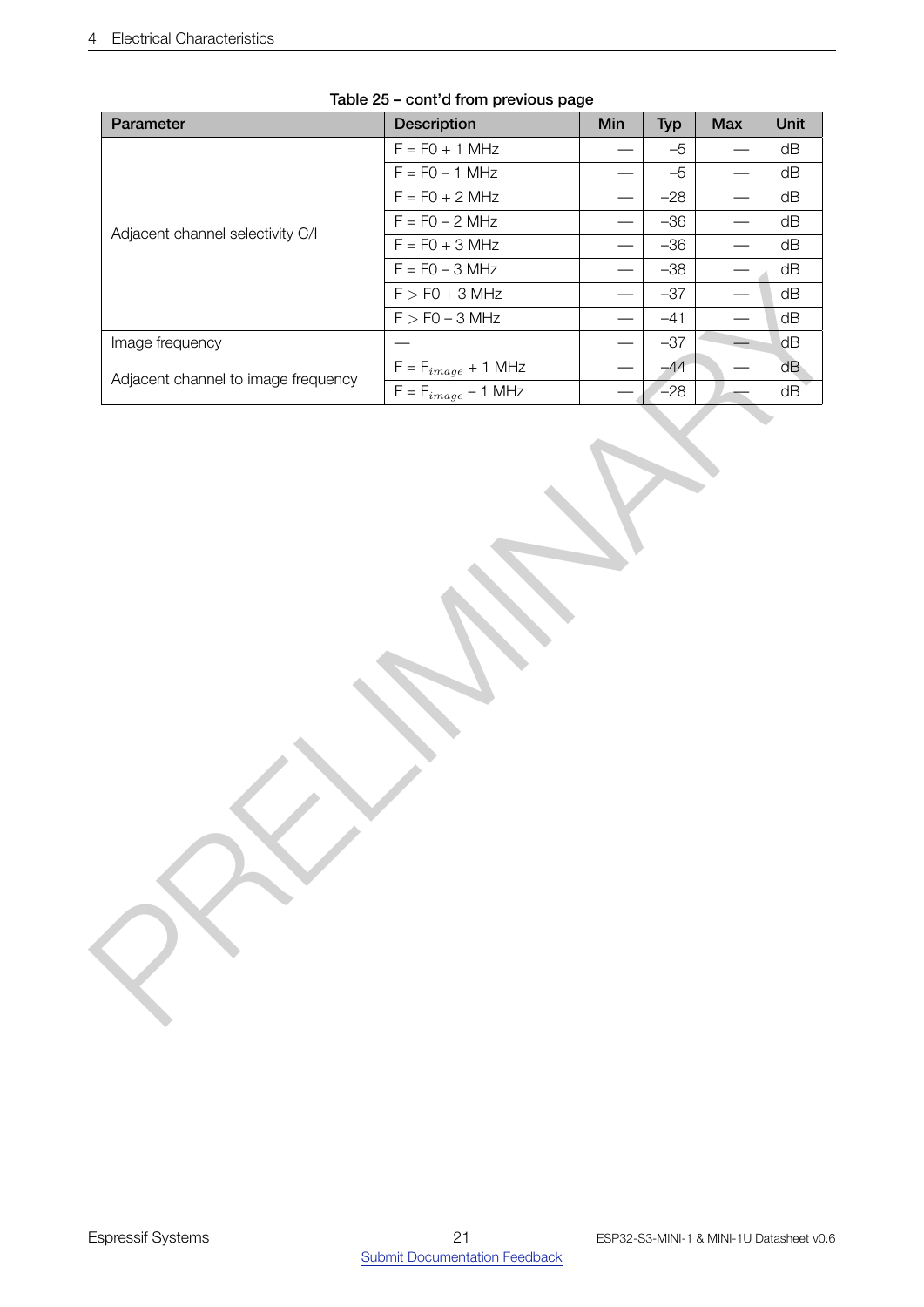| Parameter                           | Description                           | Min                      | <b>Typ</b> | Max                               | Unit |
|-------------------------------------|---------------------------------------|--------------------------|------------|-----------------------------------|------|
|                                     | $F = FO + 1 MHz$                      |                          | $-5$       | $\overline{\phantom{0}}$          | dB   |
|                                     | $F = FO - 1 MHz$                      |                          | $-5$       | $\overbrace{\phantom{123221111}}$ | dB   |
|                                     | $F = F0 + 2 MHz$                      | $\overline{\phantom{0}}$ | $-28$      |                                   | dB   |
| Adjacent channel selectivity C/I    | $F = F0 - 2 MHz$                      |                          | $-36$      |                                   | dB   |
|                                     | $F = F0 + 3 MHz$                      | $\overline{\phantom{0}}$ | $-36$      |                                   | dB   |
|                                     | $F = F0 - 3 MHz$                      | $\overline{\phantom{0}}$ | $-38$      |                                   | dB   |
|                                     | $F > F0 + 3 MHz$                      |                          | $-37$      |                                   | dB   |
|                                     | $F > F0 - 3 MHz$                      |                          | $-41$      |                                   | dB   |
| Image frequency                     |                                       |                          | $-37$      | $\equiv$                          | dB   |
| Adjacent channel to image frequency | $\mathsf{F}=\mathsf{F}_{image}+1$ MHz | $\hspace{0.05cm}$        | $-44$      |                                   | dB   |
|                                     | $\mathsf{F}=\mathsf{F}_{image}-1$ MHz |                          | $-28$      |                                   | dB   |
|                                     |                                       |                          |            |                                   |      |
|                                     |                                       |                          |            |                                   |      |

# Table 25 – cont'd from previous page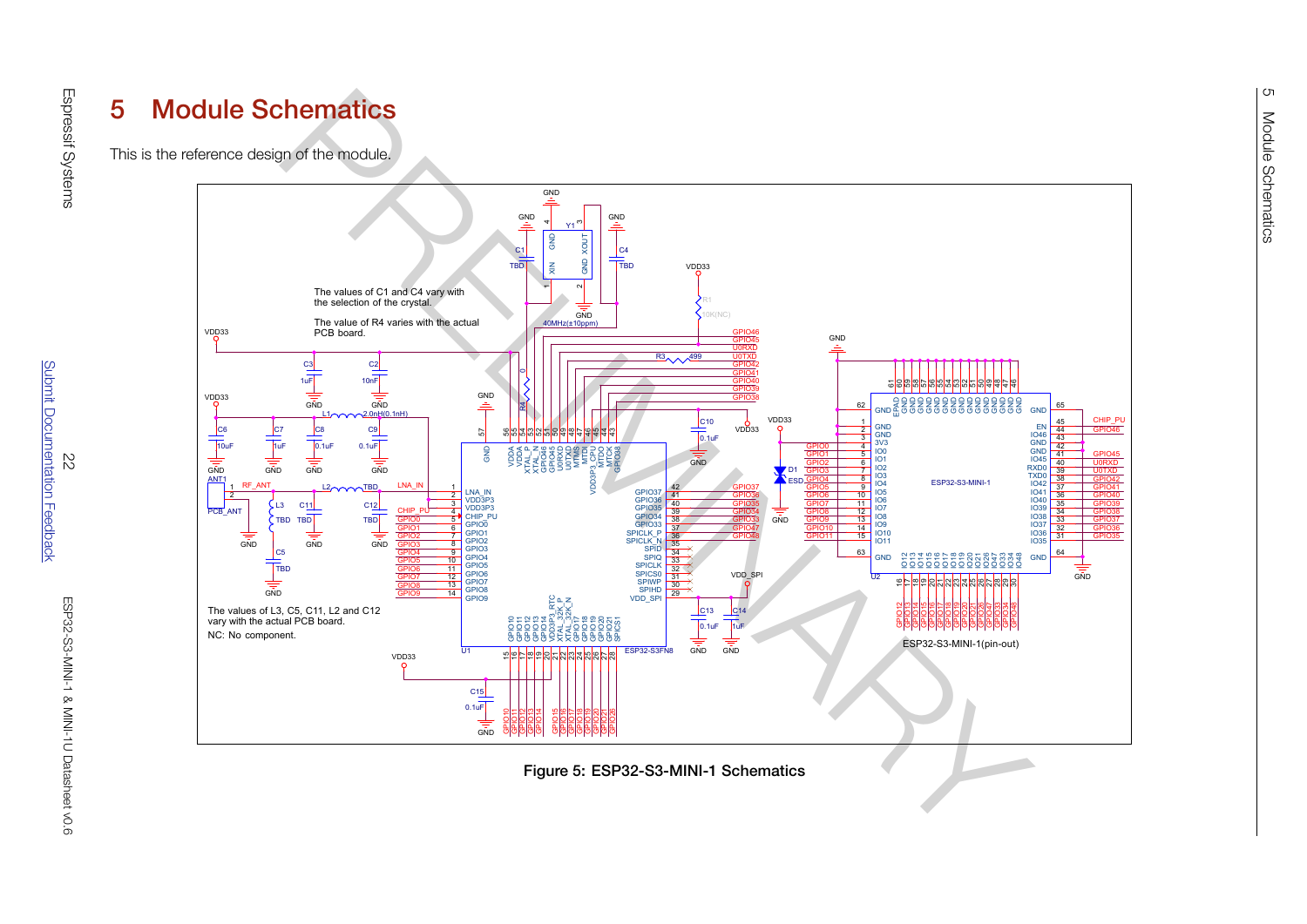#### 5Module Schematics

This is the reference design of the module.



<span id="page-21-1"></span><span id="page-21-0"></span>**Figure 5: ESP32-S3-MINI-1 Schematics** 

Page Name Rev

<ESP32-S3-MINI-1>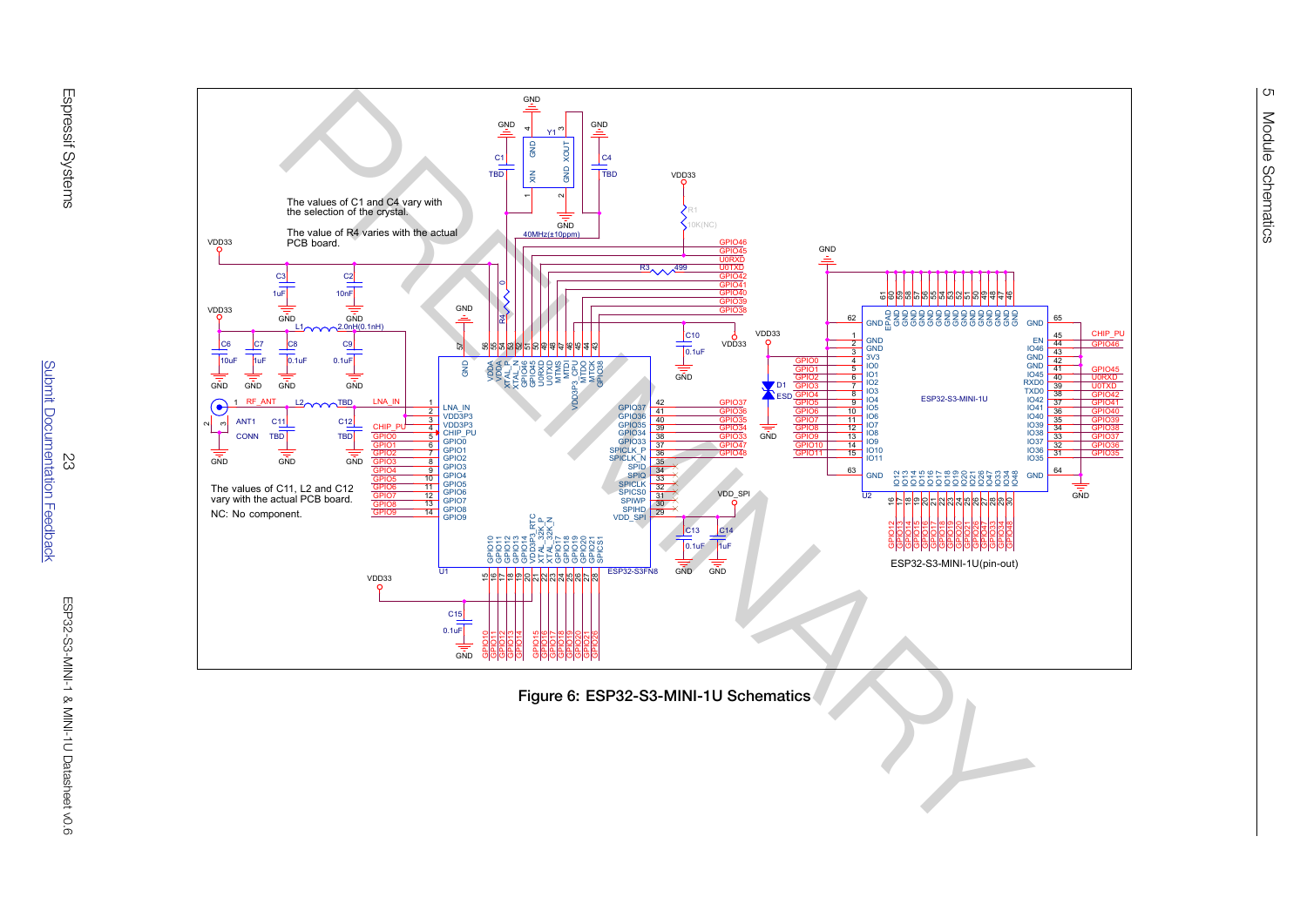



<span id="page-22-0"></span>Figure 6: ESP32-S3-MINI-1U Schematics

Title

Page Name Rev

Wednesday, November 03, 2021

ESP32-S3-MINI-1U-S2-MINI-1U-S2-MINI-1U-S2-MINI-1U-S2-MINI-1U-S2-MINI-1U-S2-MINI-1U-S2-MINI-1U-S2-MINI-1U-S2-MI

Sheet of the state of the state of the state of the state of the state of the state of the state of the state

and the second control of the second control of the second control of the second control of the second control of the second control of the second control of the second control of the second control of the second control o

2 2 2 2 2 2 2 2 2 2 2 2 2 2 2 2 2 2 2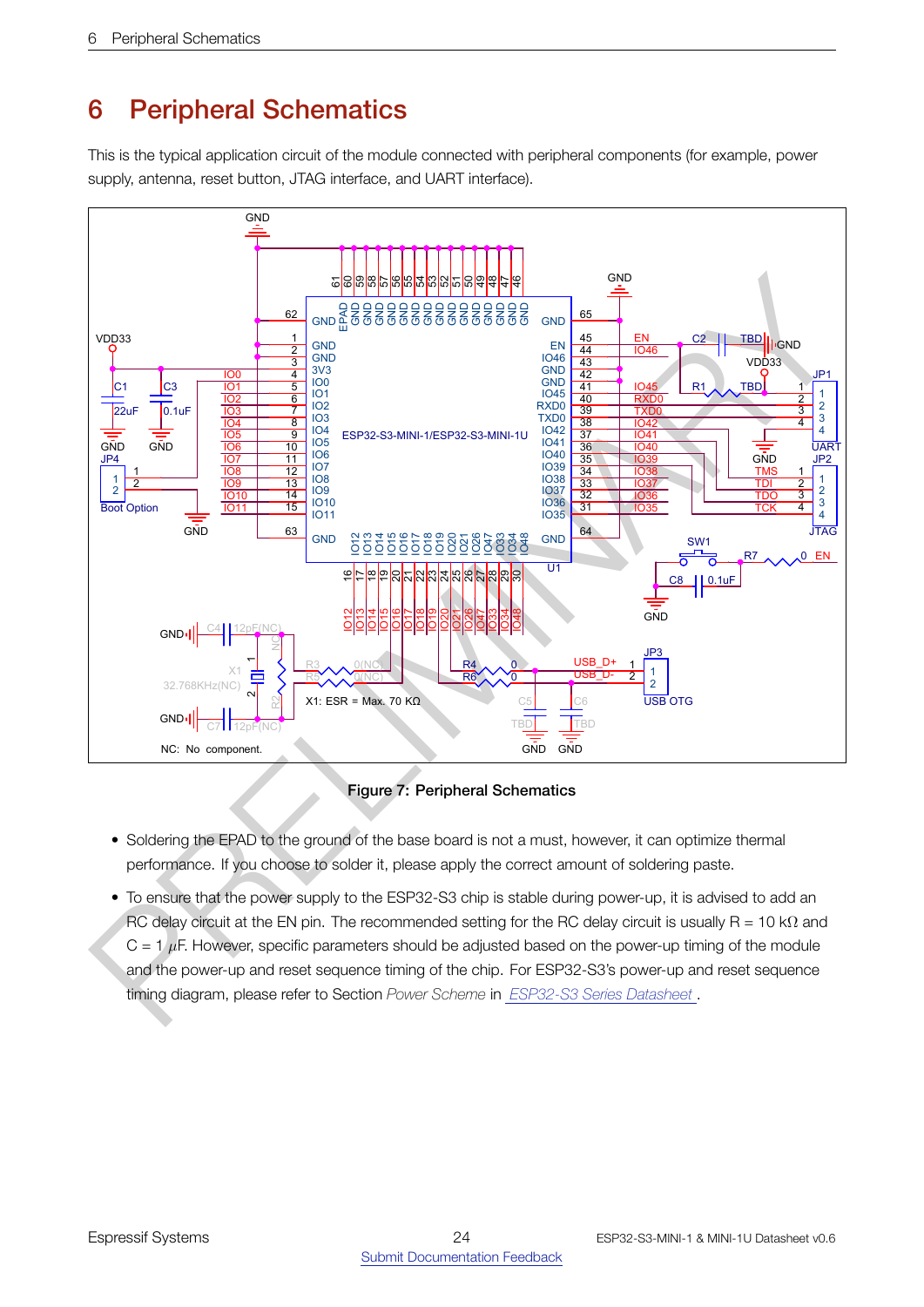# <span id="page-23-2"></span><span id="page-23-0"></span>6 Peripheral Schematics

This is the typical application circuit of the module connected with peripheral components (for example, power supply, antenna, reset button, JTAG interface, and UART interface).



Figure 7: Peripheral Schematics

- <span id="page-23-1"></span>• Soldering the EPAD to the ground of the base board is not a must, however, it can optimize thermal performance. If you choose to solder it, please apply the correct amount of soldering paste.
- RC delay circuit at the EN pin. The recommended setting for the RC delay circuit is usually R = 10 k $\Omega$  and • To ensure that the power supply to the ESP32-S3 chip is stable during power-up, it is advised to add an  $C = 1/\mu$ F. However, specific parameters should be adjusted based on the power-up timing of the module and the power-up and reset sequence timing of the chip. For ESP32-S3's power-up and reset sequence timing diagram, please refer to Section *Power Scheme* in *ESP32-S3 Series Datasheet* .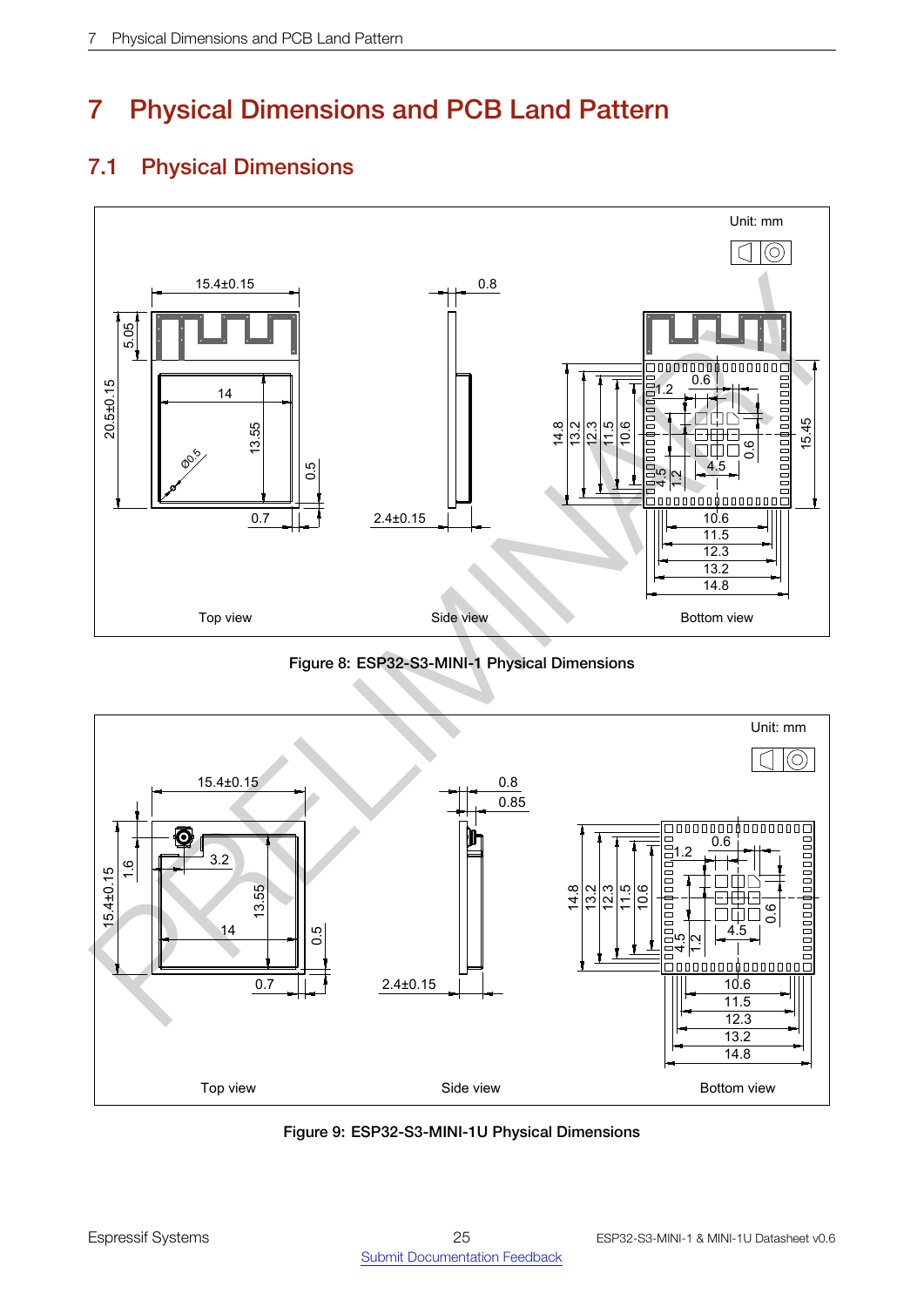# 7 Physical Dimensions and PCB Land Pattern

# <span id="page-24-0"></span>7.1 Physical Dimensions

<span id="page-24-1"></span>

Figure 8: ESP32-S3-MINI-1 Physical Dimensions

<span id="page-24-2"></span>

Figure 9: ESP32-S3-MINI-1U Physical Dimensions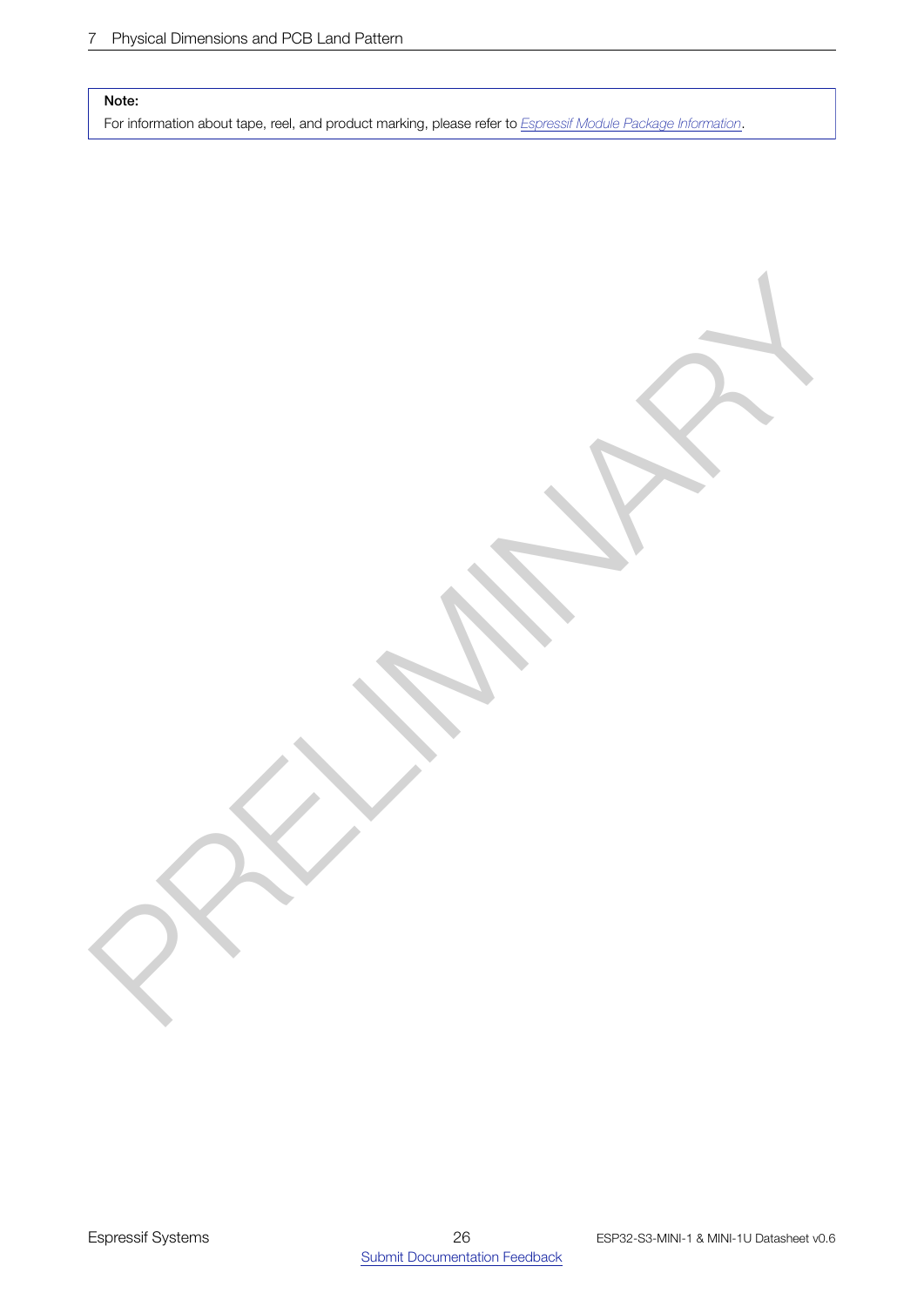#### Note:

For information about tape, reel, and product marking, please refer to *[Espressif Module Package Information](https://www.espressif.com/sites/default/files/documentation/Espressif_Module_Packing_Information_EN.pdf)*.

PRELIGINARY A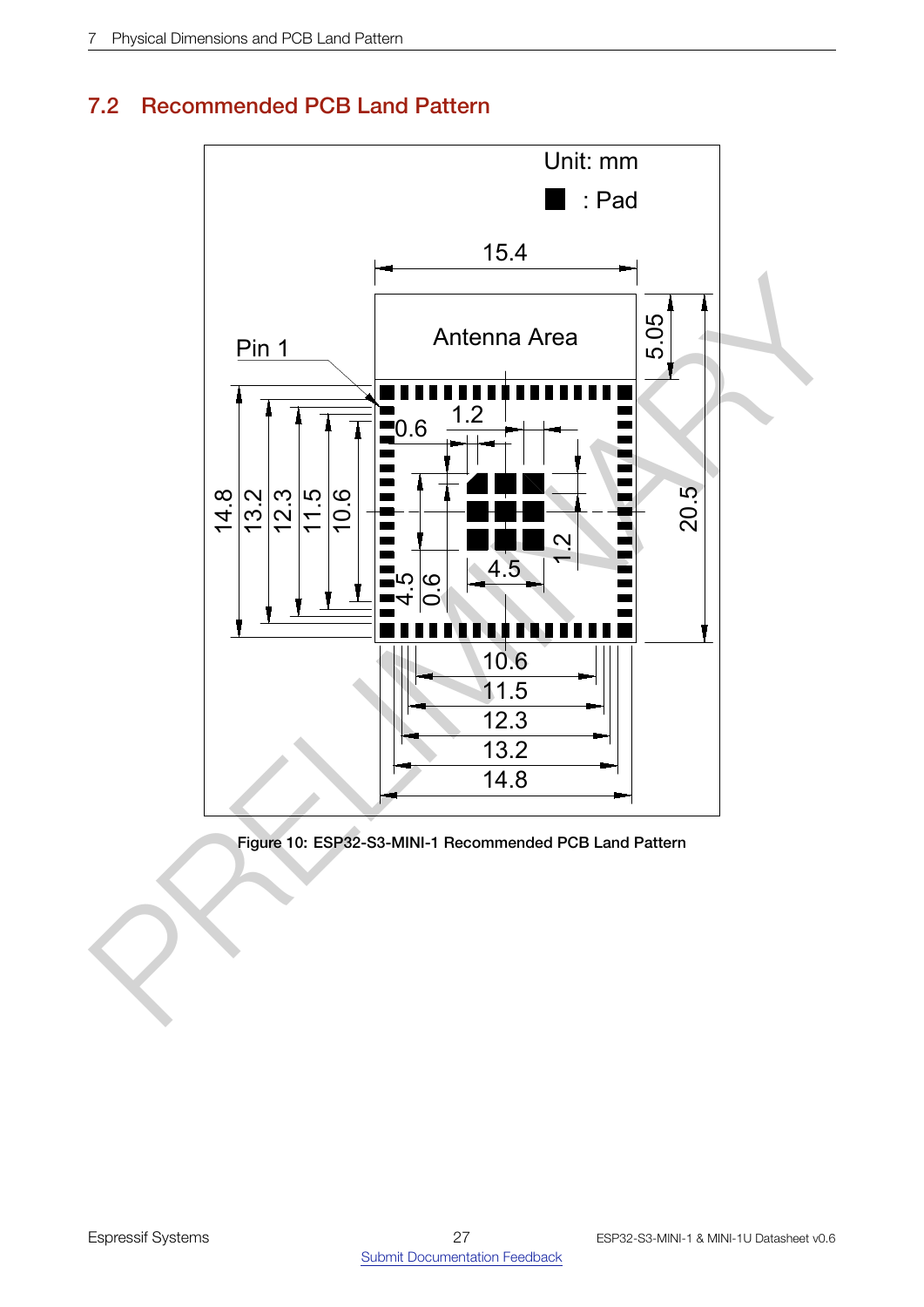# <span id="page-26-0"></span>7.2 Recommended PCB Land Pattern

<span id="page-26-1"></span>

Figure 10: ESP32-S3-MINI-1 Recommended PCB Land Pattern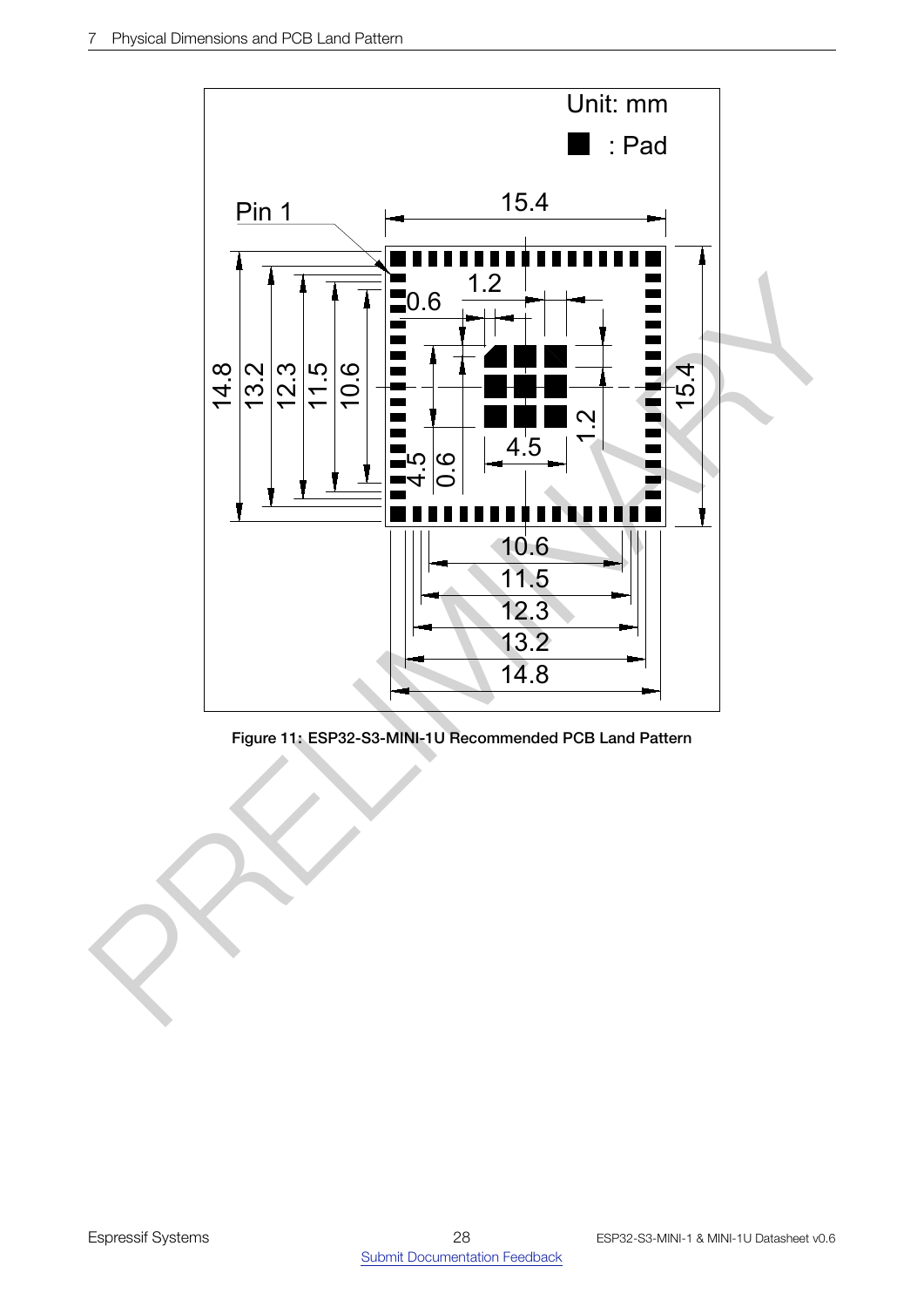<span id="page-27-0"></span>

Figure 11: ESP32-S3-MINI-1U Recommended PCB Land Pattern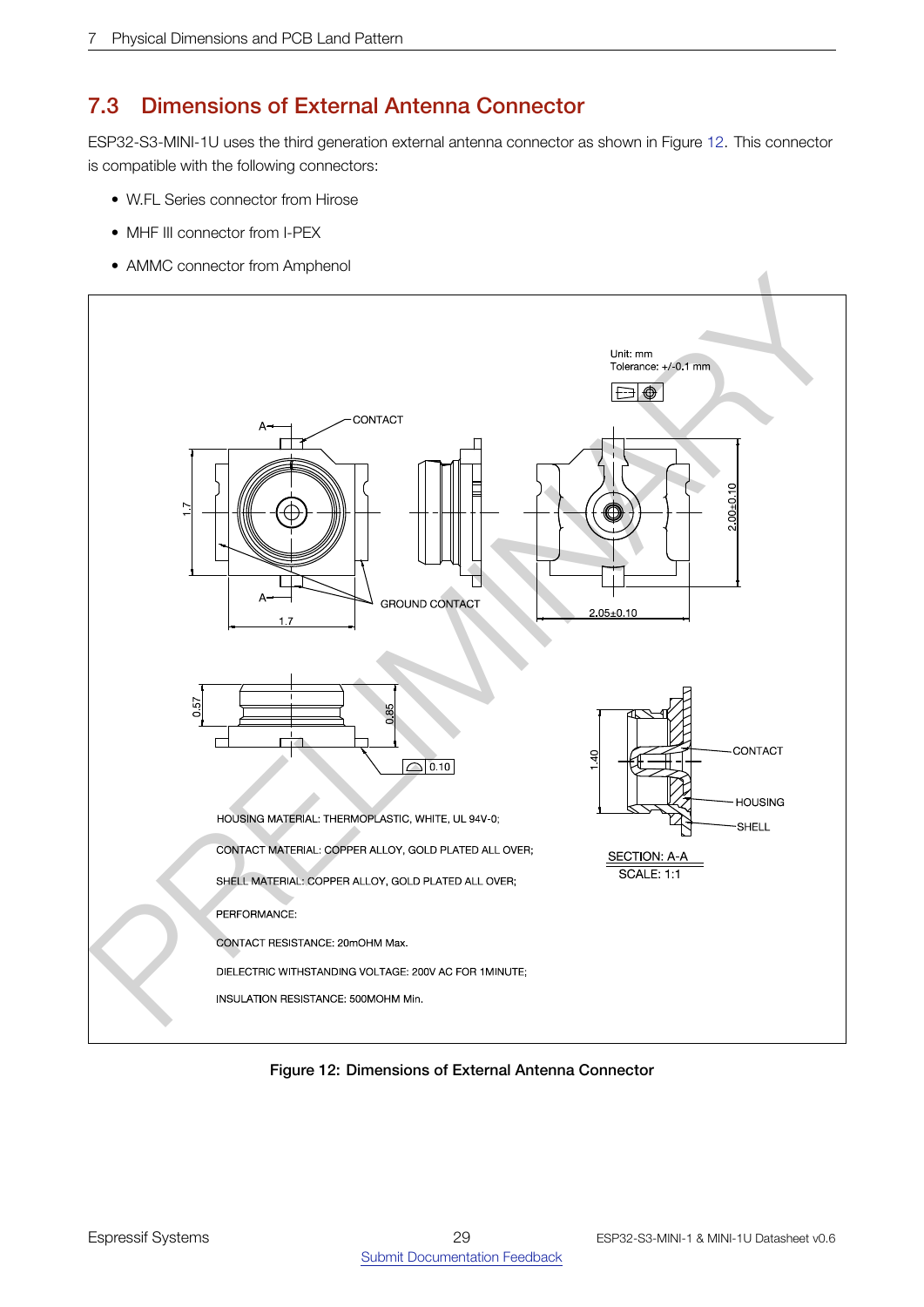# <span id="page-28-0"></span>7.3 Dimensions of External Antenna Connector

ESP32-S3-MINI-1U uses the third generation external antenna connector as shown in Figure [12.](#page-28-1) This connector is compatible with the following connectors:

- W.FL Series connector from Hirose
- MHF III connector from I-PEX
- AMMC connector from Amphenol

<span id="page-28-1"></span>

Figure 12: Dimensions of External Antenna Connector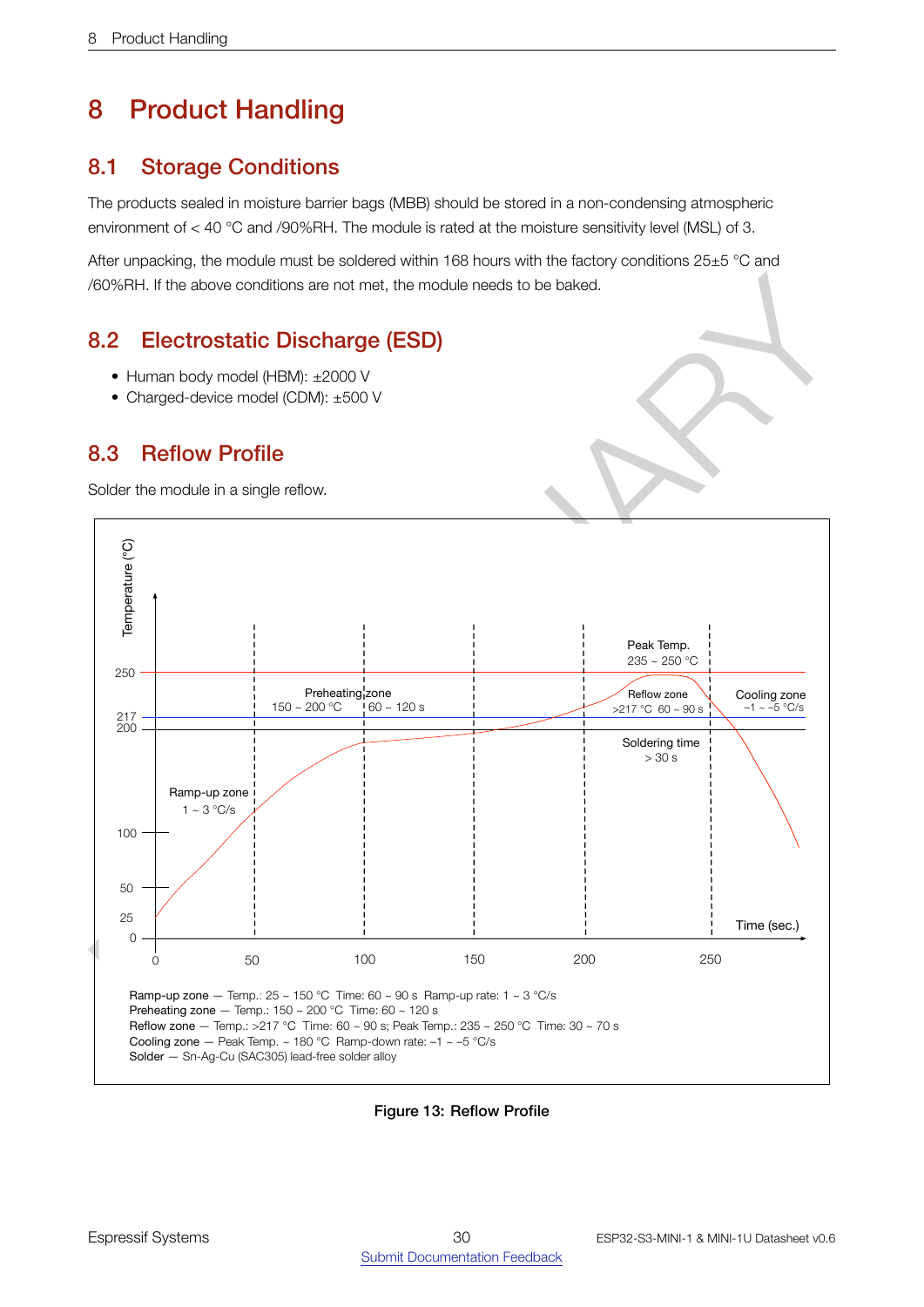# <span id="page-29-0"></span>8 Product Handling

# <span id="page-29-1"></span>8.1 Storage Conditions

The products sealed in moisture barrier bags (MBB) should be stored in a non-condensing atmospheric environment of < 40 °C and /90%RH. The module is rated at the moisture sensitivity level (MSL) of 3.

After unpacking, the module must be soldered within 168 hours with the factory conditions 25±5 °C and /60%RH. If the above conditions are not met, the module needs to be baked.

# 8.2 Electrostatic Discharge (ESD)

- Human body model (HBM): ±2000 V
- <span id="page-29-3"></span>• Charged-device model (CDM): ±500 V

# 8.3 Reflow Profile

<span id="page-29-4"></span>Solder the module in a single reflow.

<span id="page-29-2"></span>

Figure 13: Reflow Profile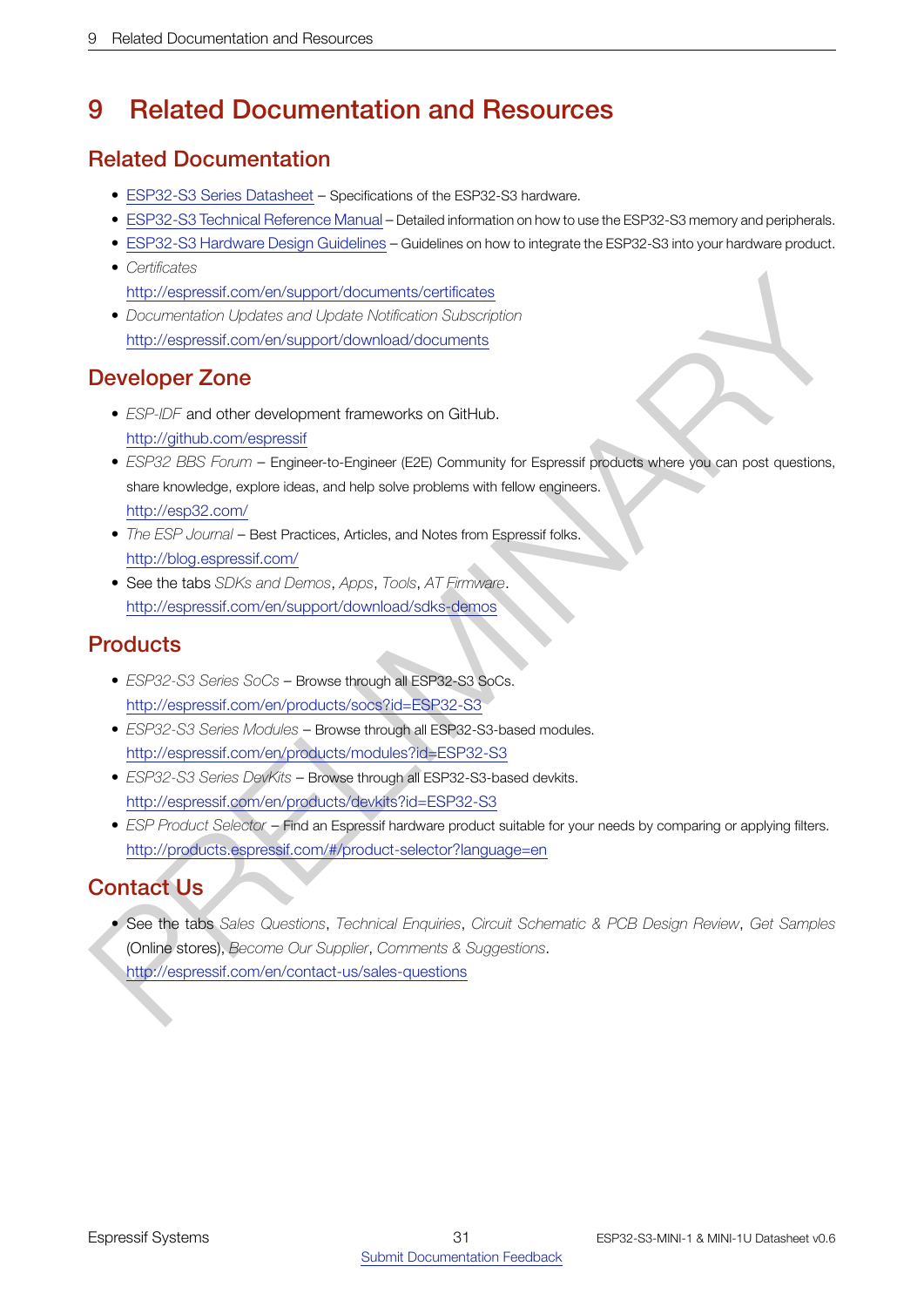# <span id="page-30-0"></span>9 Related Documentation and Resources

# Related Documentation

- [ESP32-S3](http://espressif.com/sites/default/files/documentation/esp32-s3_datasheet_en.pdf) Series Datasheet Specifications of the ESP32-S3 hardware.
- [ESP32-S3](http://espressif.com/sites/default/files/documentation/esp32-s3_technical_reference_manual_en.pdf) Technical Reference Manual Detailed information on how to use the ESP32-S3 memory and peripherals.
- [ESP32-S3](http://espressif.com/sites/default/files/documentation/esp32-s3_hardware_design_guidelines_en.pdf) Hardware Design Guidelines Guidelines on how to integrate the ESP32-S3 into your hardware product.
- *Certificates* http://espressif.com/en/support/documents/certificates
- *Documentation Updates and Update Notification Subscription* http://espressif.com/en/support/download/documents

# Developer Zone

- *ESP-IDF* and other development frameworks on GitHub. http://github.com/espressif
- Framework (collects) and the<br>distribution (behavior and the distribution of the collects)<br> [P](http://espressif.com/en/contact-us/sales-questions)[R](http://products.espressif.com/#/product-selector?language=en)[E](http://espressif.com/en/products/devkits?id=ESP32-S3)[LI](http://espressif.com/en/products/socs?id=ESP32-S3)MITY (as a proportion of the collects) biothermodel collects of the<br>
PRELIMITY (as a proportion of the collect photon of the • *ESP32 BBS Forum* – Engineer-to-Engineer (E2E) Community for Espressif products where you can post questions, share knowledge, explore ideas, and help solve problems with fellow engineers. http://esp32.com/
	- *The ESP Journal* Best Practices, Articles, and Notes from Espressif folks. http://blog.espressif.com/
	- See the tabs *SDKs and Demos*, *Apps*, *Tools*, *AT Firmware*. http://espressif.com/en/support/download/sdks-demos

# **Products**

- *ESP32-S3 Series SoCs* Browse through all ESP32-S3 SoCs. http://espressif.com/en/products/socs?id=ESP32-S3
- *ESP32-S3 Series Modules* Browse through all ESP32-S3-based modules. http://espressif.com/en/products/modules?id=ESP32-S3
- *ESP32-S3 Series DevKits* Browse through all ESP32-S3-based devkits. http://espressif.com/en/products/devkits?id=ESP32-S3
- *ESP Product Selector* Find an Espressif hardware product suitable for your needs by comparing or applying filters. http://products.espressif.com/#/product-selector?language=en

# Contact Us

• See the tabs *Sales Questions*, *Technical Enquiries*, *Circuit Schematic & PCB Design Review*, *Get Samples* (Online stores), *Become Our Supplier*, *Comments & Suggestions*. http://espressif.com/en/contact-us/sales-questions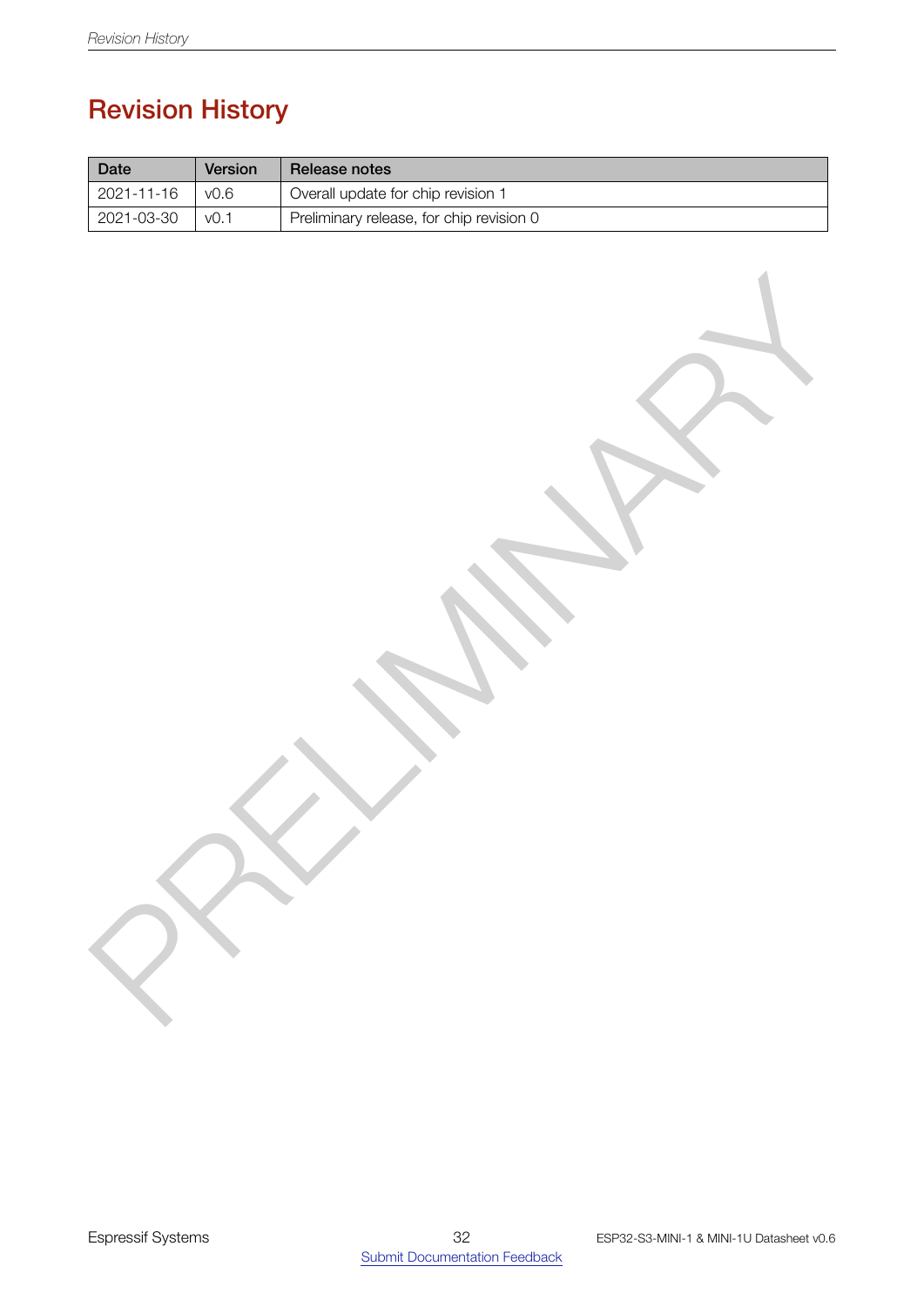# Revision History

<span id="page-31-0"></span>

| Date             | Version          | Release notes                            |
|------------------|------------------|------------------------------------------|
| 2021-11-16       | v0.6             | Overall update for chip revision 1       |
| $2021 - 03 - 30$ | V <sub>0.1</sub> | Preliminary release, for chip revision 0 |

PRELIGINARY A